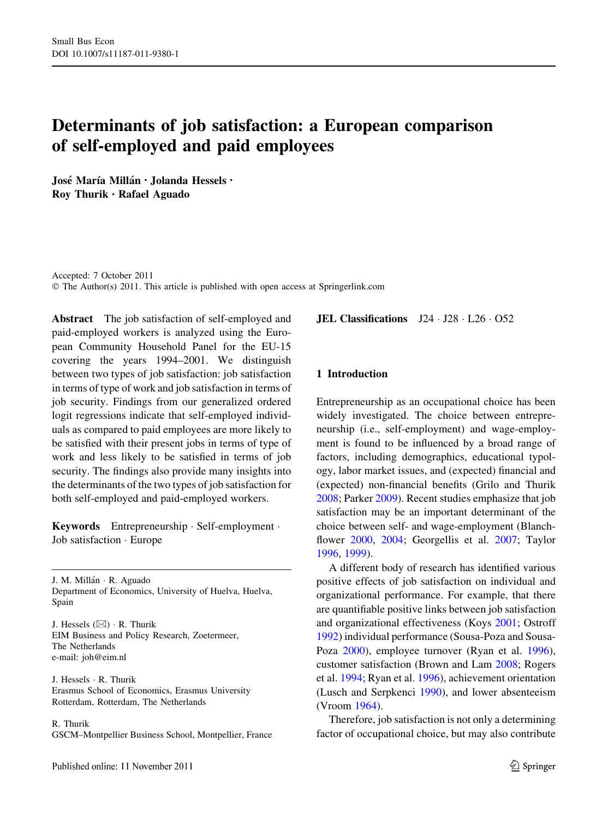# Determinants of job satisfaction: a European comparison of self-employed and paid employees

José María Millán · Jolanda Hessels · Roy Thurik • Rafael Aguado

Accepted: 7 October 2011 © The Author(s) 2011. This article is published with open access at Springerlink.com

Abstract The job satisfaction of self-employed and paid-employed workers is analyzed using the European Community Household Panel for the EU-15 covering the years 1994–2001. We distinguish between two types of job satisfaction: job satisfaction in terms of type of work and job satisfaction in terms of job security. Findings from our generalized ordered logit regressions indicate that self-employed individuals as compared to paid employees are more likely to be satisfied with their present jobs in terms of type of work and less likely to be satisfied in terms of job security. The findings also provide many insights into the determinants of the two types of job satisfaction for both self-employed and paid-employed workers.

Keywords Entrepreneurship - Self-employment - Job satisfaction - Europe

J. M. Millán · R. Aguado Department of Economics, University of Huelva, Huelva, Spain

J. Hessels  $(\boxtimes) \cdot R$ . Thurik EIM Business and Policy Research, Zoetermeer, The Netherlands e-mail: joh@eim.nl

J. Hessels - R. Thurik Erasmus School of Economics, Erasmus University Rotterdam, Rotterdam, The Netherlands

R. Thurik GSCM–Montpellier Business School, Montpellier, France **JEL Classifications**  $J24 \cdot J28 \cdot L26 \cdot O52$ 

### 1 Introduction

Entrepreneurship as an occupational choice has been widely investigated. The choice between entrepreneurship (i.e., self-employment) and wage-employment is found to be influenced by a broad range of factors, including demographics, educational typology, labor market issues, and (expected) financial and (expected) non-financial benefits (Grilo and Thurik [2008;](#page-18-0) Parker [2009](#page-18-0)). Recent studies emphasize that job satisfaction may be an important determinant of the choice between self- and wage-employment (Blanchflower [2000,](#page-17-0) [2004](#page-17-0); Georgellis et al. [2007;](#page-18-0) Taylor [1996,](#page-19-0) [1999](#page-19-0)).

A different body of research has identified various positive effects of job satisfaction on individual and organizational performance. For example, that there are quantifiable positive links between job satisfaction and organizational effectiveness (Koys [2001;](#page-18-0) Ostroff [1992\)](#page-18-0) individual performance (Sousa-Poza and Sousa-Poza [2000\)](#page-19-0), employee turnover (Ryan et al. [1996](#page-18-0)), customer satisfaction (Brown and Lam [2008](#page-17-0); Rogers et al. [1994](#page-18-0); Ryan et al. [1996\)](#page-18-0), achievement orientation (Lusch and Serpkenci [1990\)](#page-18-0), and lower absenteeism (Vroom [1964](#page-19-0)).

Therefore, job satisfaction is not only a determining factor of occupational choice, but may also contribute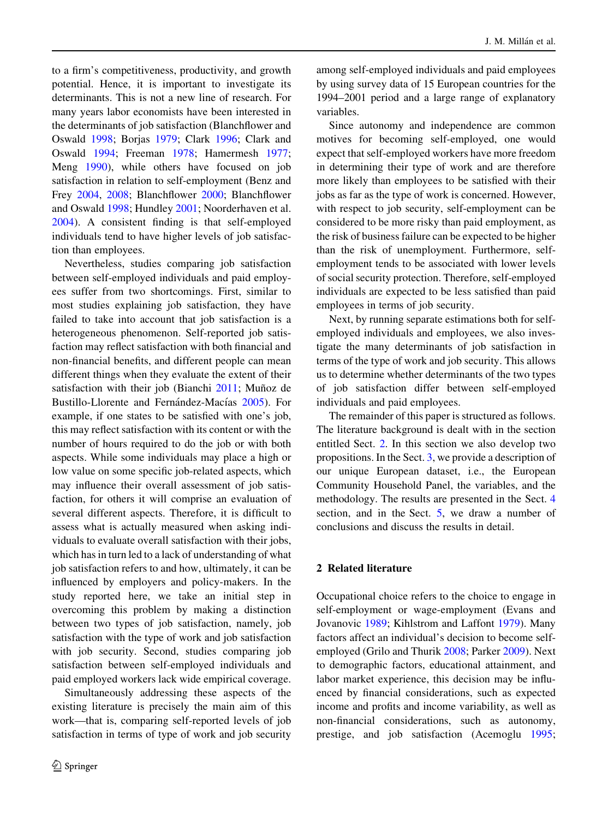to a firm's competitiveness, productivity, and growth potential. Hence, it is important to investigate its determinants. This is not a new line of research. For many years labor economists have been interested in the determinants of job satisfaction (Blanchflower and Oswald [1998;](#page-17-0) Borjas [1979;](#page-17-0) Clark [1996;](#page-17-0) Clark and Oswald [1994;](#page-17-0) Freeman [1978;](#page-18-0) Hamermesh [1977](#page-18-0); Meng [1990\)](#page-18-0), while others have focused on job satisfaction in relation to self-employment (Benz and Frey [2004](#page-17-0), [2008](#page-17-0); Blanchflower [2000](#page-17-0); Blanchflower and Oswald [1998](#page-17-0); Hundley [2001](#page-18-0); Noorderhaven et al. [2004\)](#page-18-0). A consistent finding is that self-employed individuals tend to have higher levels of job satisfaction than employees.

Nevertheless, studies comparing job satisfaction between self-employed individuals and paid employees suffer from two shortcomings. First, similar to most studies explaining job satisfaction, they have failed to take into account that job satisfaction is a heterogeneous phenomenon. Self-reported job satisfaction may reflect satisfaction with both financial and non-financial benefits, and different people can mean different things when they evaluate the extent of their satisfaction with their job (Bianchi  $2011$ ; Muñoz de Bustillo-Llorente and Fernández-Macías [2005\)](#page-18-0). For example, if one states to be satisfied with one's job, this may reflect satisfaction with its content or with the number of hours required to do the job or with both aspects. While some individuals may place a high or low value on some specific job-related aspects, which may influence their overall assessment of job satisfaction, for others it will comprise an evaluation of several different aspects. Therefore, it is difficult to assess what is actually measured when asking individuals to evaluate overall satisfaction with their jobs, which has in turn led to a lack of understanding of what job satisfaction refers to and how, ultimately, it can be influenced by employers and policy-makers. In the study reported here, we take an initial step in overcoming this problem by making a distinction between two types of job satisfaction, namely, job satisfaction with the type of work and job satisfaction with job security. Second, studies comparing job satisfaction between self-employed individuals and paid employed workers lack wide empirical coverage.

Simultaneously addressing these aspects of the existing literature is precisely the main aim of this work—that is, comparing self-reported levels of job satisfaction in terms of type of work and job security among self-employed individuals and paid employees by using survey data of 15 European countries for the 1994–2001 period and a large range of explanatory variables.

Since autonomy and independence are common motives for becoming self-employed, one would expect that self-employed workers have more freedom in determining their type of work and are therefore more likely than employees to be satisfied with their jobs as far as the type of work is concerned. However, with respect to job security, self-employment can be considered to be more risky than paid employment, as the risk of business failure can be expected to be higher than the risk of unemployment. Furthermore, selfemployment tends to be associated with lower levels of social security protection. Therefore, self-employed individuals are expected to be less satisfied than paid employees in terms of job security.

Next, by running separate estimations both for selfemployed individuals and employees, we also investigate the many determinants of job satisfaction in terms of the type of work and job security. This allows us to determine whether determinants of the two types of job satisfaction differ between self-employed individuals and paid employees.

The remainder of this paper is structured as follows. The literature background is dealt with in the section entitled Sect. 2. In this section we also develop two propositions. In the Sect. [3](#page-3-0), we provide a description of our unique European dataset, i.e., the European Community Household Panel, the variables, and the methodology. The results are presented in the Sect. [4](#page-7-0) section, and in the Sect. [5](#page-13-0), we draw a number of conclusions and discuss the results in detail.

### 2 Related literature

Occupational choice refers to the choice to engage in self-employment or wage-employment (Evans and Jovanovic [1989](#page-18-0); Kihlstrom and Laffont [1979](#page-18-0)). Many factors affect an individual's decision to become selfemployed (Grilo and Thurik [2008](#page-18-0); Parker [2009\)](#page-18-0). Next to demographic factors, educational attainment, and labor market experience, this decision may be influenced by financial considerations, such as expected income and profits and income variability, as well as non-financial considerations, such as autonomy, prestige, and job satisfaction (Acemoglu [1995](#page-17-0);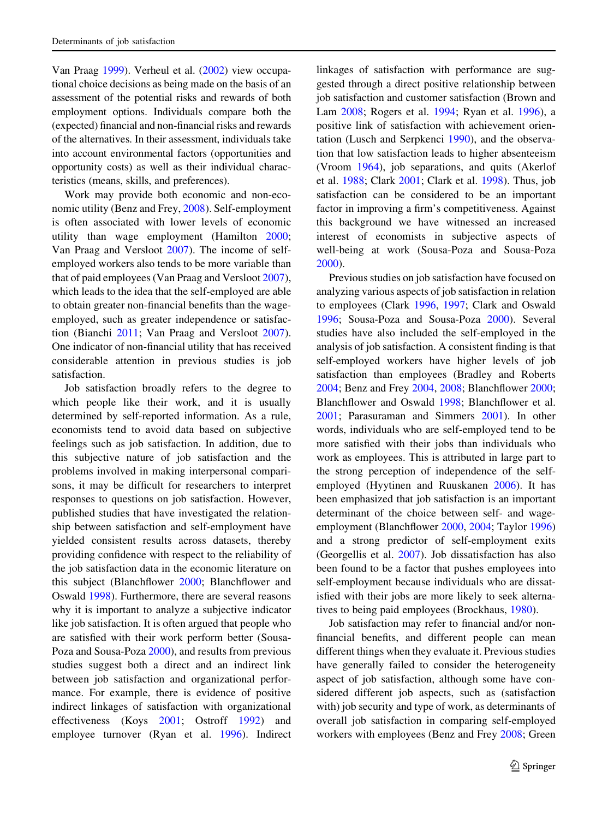Van Praag [1999\)](#page-19-0). Verheul et al. [\(2002\)](#page-19-0) view occupational choice decisions as being made on the basis of an assessment of the potential risks and rewards of both employment options. Individuals compare both the (expected) financial and non-financial risks and rewards of the alternatives. In their assessment, individuals take into account environmental factors (opportunities and opportunity costs) as well as their individual characteristics (means, skills, and preferences).

Work may provide both economic and non-economic utility (Benz and Frey, [2008\)](#page-17-0). Self-employment is often associated with lower levels of economic utility than wage employment (Hamilton [2000](#page-18-0); Van Praag and Versloot [2007](#page-19-0)). The income of selfemployed workers also tends to be more variable than that of paid employees (Van Praag and Versloot [2007](#page-19-0)), which leads to the idea that the self-employed are able to obtain greater non-financial benefits than the wageemployed, such as greater independence or satisfaction (Bianchi [2011](#page-17-0); Van Praag and Versloot [2007](#page-19-0)). One indicator of non-financial utility that has received considerable attention in previous studies is job satisfaction.

Job satisfaction broadly refers to the degree to which people like their work, and it is usually determined by self-reported information. As a rule, economists tend to avoid data based on subjective feelings such as job satisfaction. In addition, due to this subjective nature of job satisfaction and the problems involved in making interpersonal comparisons, it may be difficult for researchers to interpret responses to questions on job satisfaction. However, published studies that have investigated the relationship between satisfaction and self-employment have yielded consistent results across datasets, thereby providing confidence with respect to the reliability of the job satisfaction data in the economic literature on this subject (Blanchflower [2000](#page-17-0); Blanchflower and Oswald [1998\)](#page-17-0). Furthermore, there are several reasons why it is important to analyze a subjective indicator like job satisfaction. It is often argued that people who are satisfied with their work perform better (Sousa-Poza and Sousa-Poza [2000\)](#page-19-0), and results from previous studies suggest both a direct and an indirect link between job satisfaction and organizational performance. For example, there is evidence of positive indirect linkages of satisfaction with organizational effectiveness (Koys [2001](#page-18-0); Ostroff [1992\)](#page-18-0) and employee turnover (Ryan et al. [1996\)](#page-18-0). Indirect linkages of satisfaction with performance are suggested through a direct positive relationship between job satisfaction and customer satisfaction (Brown and Lam [2008](#page-17-0); Rogers et al. [1994](#page-18-0); Ryan et al. [1996](#page-18-0)), a positive link of satisfaction with achievement orientation (Lusch and Serpkenci [1990](#page-18-0)), and the observation that low satisfaction leads to higher absenteeism (Vroom [1964](#page-19-0)), job separations, and quits (Akerlof et al. [1988;](#page-17-0) Clark [2001;](#page-17-0) Clark et al. [1998](#page-17-0)). Thus, job satisfaction can be considered to be an important factor in improving a firm's competitiveness. Against this background we have witnessed an increased interest of economists in subjective aspects of well-being at work (Sousa-Poza and Sousa-Poza [2000\)](#page-19-0).

Previous studies on job satisfaction have focused on analyzing various aspects of job satisfaction in relation to employees (Clark [1996,](#page-17-0) [1997;](#page-17-0) Clark and Oswald [1996;](#page-17-0) Sousa-Poza and Sousa-Poza [2000\)](#page-19-0). Several studies have also included the self-employed in the analysis of job satisfaction. A consistent finding is that self-employed workers have higher levels of job satisfaction than employees (Bradley and Roberts [2004;](#page-17-0) Benz and Frey [2004,](#page-17-0) [2008;](#page-17-0) Blanchflower [2000;](#page-17-0) Blanchflower and Oswald [1998](#page-17-0); Blanchflower et al. [2001;](#page-17-0) Parasuraman and Simmers [2001](#page-18-0)). In other words, individuals who are self-employed tend to be more satisfied with their jobs than individuals who work as employees. This is attributed in large part to the strong perception of independence of the selfemployed (Hyytinen and Ruuskanen [2006\)](#page-18-0). It has been emphasized that job satisfaction is an important determinant of the choice between self- and wageemployment (Blanchflower [2000](#page-17-0), [2004](#page-17-0); Taylor [1996\)](#page-19-0) and a strong predictor of self-employment exits (Georgellis et al. [2007](#page-18-0)). Job dissatisfaction has also been found to be a factor that pushes employees into self-employment because individuals who are dissatisfied with their jobs are more likely to seek alternatives to being paid employees (Brockhaus, [1980](#page-17-0)).

Job satisfaction may refer to financial and/or nonfinancial benefits, and different people can mean different things when they evaluate it. Previous studies have generally failed to consider the heterogeneity aspect of job satisfaction, although some have considered different job aspects, such as (satisfaction with) job security and type of work, as determinants of overall job satisfaction in comparing self-employed workers with employees (Benz and Frey [2008](#page-17-0); Green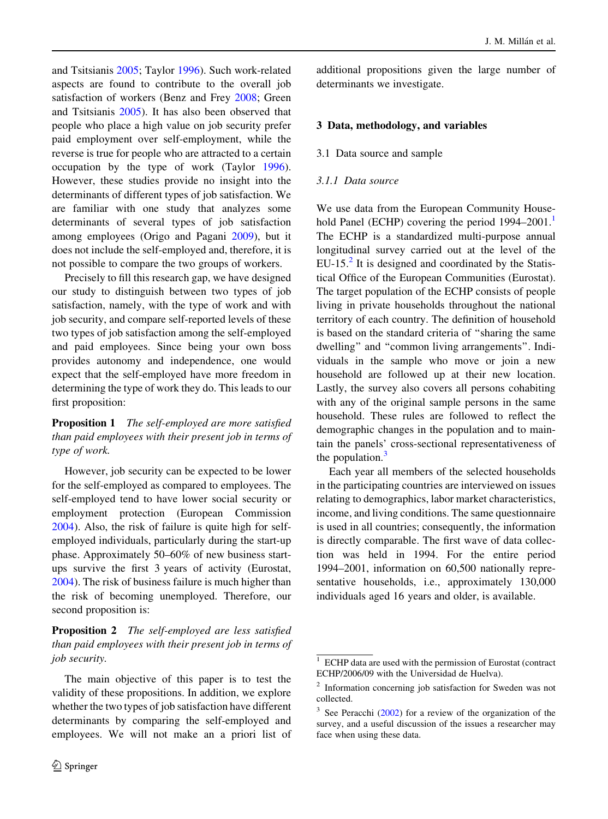<span id="page-3-0"></span>and Tsitsianis [2005;](#page-18-0) Taylor [1996\)](#page-19-0). Such work-related aspects are found to contribute to the overall job satisfaction of workers (Benz and Frey [2008](#page-17-0); Green and Tsitsianis [2005](#page-18-0)). It has also been observed that people who place a high value on job security prefer paid employment over self-employment, while the reverse is true for people who are attracted to a certain occupation by the type of work (Taylor [1996](#page-19-0)). However, these studies provide no insight into the determinants of different types of job satisfaction. We are familiar with one study that analyzes some determinants of several types of job satisfaction among employees (Origo and Pagani [2009\)](#page-18-0), but it does not include the self-employed and, therefore, it is not possible to compare the two groups of workers.

Precisely to fill this research gap, we have designed our study to distinguish between two types of job satisfaction, namely, with the type of work and with job security, and compare self-reported levels of these two types of job satisfaction among the self-employed and paid employees. Since being your own boss provides autonomy and independence, one would expect that the self-employed have more freedom in determining the type of work they do. This leads to our first proposition:

**Proposition 1** The self-employed are more satisfied than paid employees with their present job in terms of type of work.

However, job security can be expected to be lower for the self-employed as compared to employees. The self-employed tend to have lower social security or employment protection (European Commission [2004\)](#page-18-0). Also, the risk of failure is quite high for selfemployed individuals, particularly during the start-up phase. Approximately 50–60% of new business startups survive the first 3 years of activity (Eurostat, [2004\)](#page-18-0). The risk of business failure is much higher than the risk of becoming unemployed. Therefore, our second proposition is:

Proposition 2 The self-employed are less satisfied than paid employees with their present job in terms of job security.

The main objective of this paper is to test the validity of these propositions. In addition, we explore whether the two types of job satisfaction have different determinants by comparing the self-employed and employees. We will not make an a priori list of additional propositions given the large number of determinants we investigate.

### 3 Data, methodology, and variables

# 3.1 Data source and sample

# 3.1.1 Data source

We use data from the European Community Household Panel (ECHP) covering the period  $1994-2001$ .<sup>1</sup> The ECHP is a standardized multi-purpose annual longitudinal survey carried out at the level of the  $EU-15<sup>2</sup>$  It is designed and coordinated by the Statistical Office of the European Communities (Eurostat). The target population of the ECHP consists of people living in private households throughout the national territory of each country. The definition of household is based on the standard criteria of ''sharing the same dwelling'' and ''common living arrangements''. Individuals in the sample who move or join a new household are followed up at their new location. Lastly, the survey also covers all persons cohabiting with any of the original sample persons in the same household. These rules are followed to reflect the demographic changes in the population and to maintain the panels' cross-sectional representativeness of the population. $3$ 

Each year all members of the selected households in the participating countries are interviewed on issues relating to demographics, labor market characteristics, income, and living conditions. The same questionnaire is used in all countries; consequently, the information is directly comparable. The first wave of data collection was held in 1994. For the entire period 1994–2001, information on 60,500 nationally representative households, i.e., approximately 130,000 individuals aged 16 years and older, is available.

<sup>1</sup> ECHP data are used with the permission of Eurostat (contract ECHP/2006/09 with the Universidad de Huelva).

<sup>2</sup> Information concerning job satisfaction for Sweden was not collected.

 $3$  See Peracchi ([2002\)](#page-18-0) for a review of the organization of the survey, and a useful discussion of the issues a researcher may face when using these data.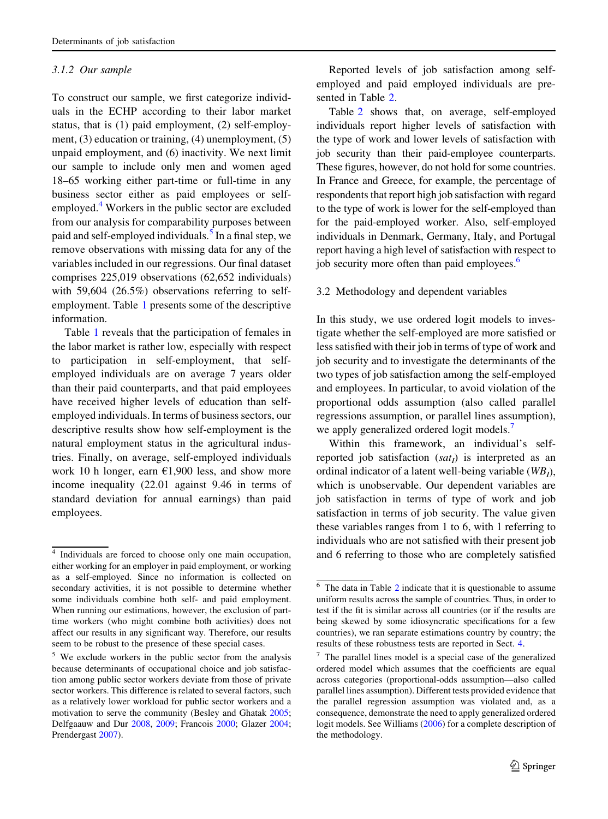# 3.1.2 Our sample

To construct our sample, we first categorize individuals in the ECHP according to their labor market status, that is (1) paid employment, (2) self-employment, (3) education or training, (4) unemployment, (5) unpaid employment, and (6) inactivity. We next limit our sample to include only men and women aged 18–65 working either part-time or full-time in any business sector either as paid employees or selfemployed.<sup>4</sup> Workers in the public sector are excluded from our analysis for comparability purposes between paid and self-employed individuals.<sup>5</sup> In a final step, we remove observations with missing data for any of the variables included in our regressions. Our final dataset comprises 225,019 observations (62,652 individuals) with 59,604 (26.5%) observations referring to selfemployment. Table [1](#page-5-0) presents some of the descriptive information.

Table [1](#page-5-0) reveals that the participation of females in the labor market is rather low, especially with respect to participation in self-employment, that selfemployed individuals are on average 7 years older than their paid counterparts, and that paid employees have received higher levels of education than selfemployed individuals. In terms of business sectors, our descriptive results show how self-employment is the natural employment status in the agricultural industries. Finally, on average, self-employed individuals work 10 h longer, earn  $\epsilon$ 1,900 less, and show more income inequality (22.01 against 9.46 in terms of standard deviation for annual earnings) than paid employees.

Reported levels of job satisfaction among selfemployed and paid employed individuals are presented in Table [2](#page-7-0).

Table [2](#page-7-0) shows that, on average, self-employed individuals report higher levels of satisfaction with the type of work and lower levels of satisfaction with job security than their paid-employee counterparts. These figures, however, do not hold for some countries. In France and Greece, for example, the percentage of respondents that report high job satisfaction with regard to the type of work is lower for the self-employed than for the paid-employed worker. Also, self-employed individuals in Denmark, Germany, Italy, and Portugal report having a high level of satisfaction with respect to job security more often than paid employees.<sup>6</sup>

3.2 Methodology and dependent variables

In this study, we use ordered logit models to investigate whether the self-employed are more satisfied or less satisfied with their job in terms of type of work and job security and to investigate the determinants of the two types of job satisfaction among the self-employed and employees. In particular, to avoid violation of the proportional odds assumption (also called parallel regressions assumption, or parallel lines assumption), we apply generalized ordered logit models.<sup>7</sup>

Within this framework, an individual's selfreported job satisfaction  $(sat<sub>I</sub>)$  is interpreted as an ordinal indicator of a latent well-being variable  $(WB<sub>I</sub>)$ , which is unobservable. Our dependent variables are job satisfaction in terms of type of work and job satisfaction in terms of job security. The value given these variables ranges from 1 to 6, with 1 referring to individuals who are not satisfied with their present job <sup>4</sup> Individuals are forced to choose only one main occupation, and 6 referring to those who are completely satisfied

either working for an employer in paid employment, or working as a self-employed. Since no information is collected on secondary activities, it is not possible to determine whether some individuals combine both self- and paid employment. When running our estimations, however, the exclusion of parttime workers (who might combine both activities) does not affect our results in any significant way. Therefore, our results seem to be robust to the presence of these special cases.

<sup>&</sup>lt;sup>5</sup> We exclude workers in the public sector from the analysis because determinants of occupational choice and job satisfaction among public sector workers deviate from those of private sector workers. This difference is related to several factors, such as a relatively lower workload for public sector workers and a motivation to serve the community (Besley and Ghatak [2005;](#page-17-0) Delfgaauw and Dur [2008](#page-18-0), [2009](#page-18-0); Francois [2000;](#page-18-0) Glazer [2004;](#page-18-0) Prendergast [2007](#page-18-0)).

<sup>6</sup> The data in Table [2](#page-7-0) indicate that it is questionable to assume uniform results across the sample of countries. Thus, in order to test if the fit is similar across all countries (or if the results are being skewed by some idiosyncratic specifications for a few countries), we ran separate estimations country by country; the results of these robustness tests are reported in Sect. [4](#page-7-0).

 $7$  The parallel lines model is a special case of the generalized ordered model which assumes that the coefficients are equal across categories (proportional-odds assumption—also called parallel lines assumption). Different tests provided evidence that the parallel regression assumption was violated and, as a consequence, demonstrate the need to apply generalized ordered logit models. See Williams [\(2006](#page-19-0)) for a complete description of the methodology.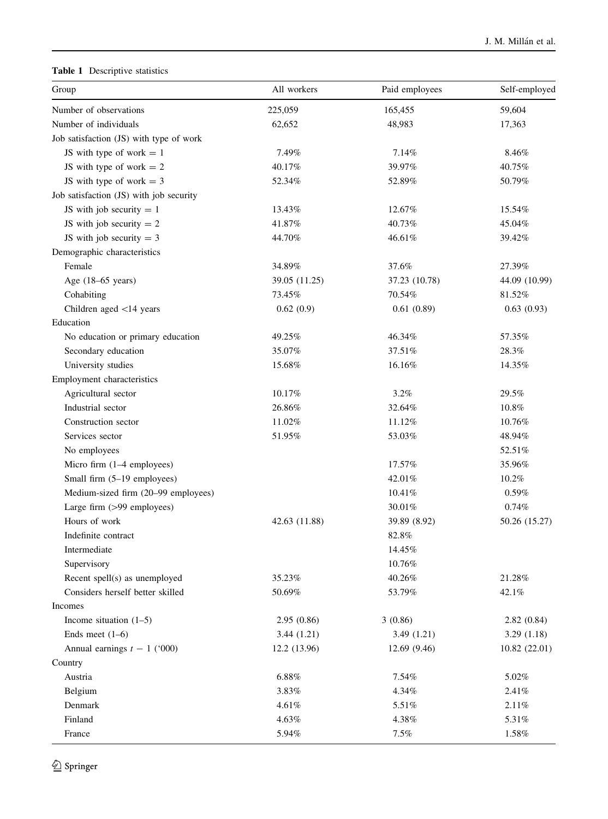# <span id="page-5-0"></span>Table 1 Descriptive statistics

| Group                                   | All workers   | Paid employees | Self-employed |
|-----------------------------------------|---------------|----------------|---------------|
| Number of observations                  | 225,059       | 165,455        | 59,604        |
| Number of individuals                   | 62,652        | 48,983         | 17,363        |
| Job satisfaction (JS) with type of work |               |                |               |
| JS with type of work $= 1$              | 7.49%         | 7.14%          | 8.46%         |
| JS with type of work $= 2$              | 40.17%        | 39.97%         | 40.75%        |
| JS with type of work $=$ 3              | 52.34%        | 52.89%         | 50.79%        |
| Job satisfaction (JS) with job security |               |                |               |
| JS with job security $= 1$              | 13.43%        | 12.67%         | 15.54%        |
| JS with job security $= 2$              | 41.87%        | 40.73%         | 45.04%        |
| JS with job security $= 3$              | 44.70%        | 46.61%         | 39.42%        |
| Demographic characteristics             |               |                |               |
| Female                                  | 34.89%        | 37.6%          | 27.39%        |
| Age (18-65 years)                       | 39.05 (11.25) | 37.23 (10.78)  | 44.09 (10.99) |
| Cohabiting                              | 73.45%        | 70.54%         | 81.52%        |
| Children aged <14 years                 | 0.62(0.9)     | 0.61(0.89)     | 0.63(0.93)    |
| Education                               |               |                |               |
| No education or primary education       | 49.25%        | 46.34%         | 57.35%        |
| Secondary education                     | 35.07%        | 37.51%         | 28.3%         |
| University studies                      | 15.68%        | 16.16%         | 14.35%        |
| Employment characteristics              |               |                |               |
| Agricultural sector                     | 10.17%        | 3.2%           | 29.5%         |
| Industrial sector                       | 26.86%        | 32.64%         | 10.8%         |
| Construction sector                     | 11.02%        | 11.12%         | 10.76%        |
| Services sector                         | 51.95%        | 53.03%         | 48.94%        |
| No employees                            |               |                | 52.51%        |
| Micro firm (1-4 employees)              |               | 17.57%         | 35.96%        |
| Small firm (5-19 employees)             |               | 42.01%         | 10.2%         |
| Medium-sized firm (20-99 employees)     |               | 10.41%         | $0.59\%$      |
| Large firm (>99 employees)              |               | 30.01%         | 0.74%         |
| Hours of work                           | 42.63 (11.88) | 39.89 (8.92)   | 50.26 (15.27) |
| Indefinite contract                     |               | 82.8%          |               |
| Intermediate                            |               | 14.45%         |               |
| Supervisory                             |               | 10.76%         |               |
| Recent spell(s) as unemployed           | 35.23%        | 40.26%         | 21.28%        |
| Considers herself better skilled        | 50.69%        | 53.79%         | 42.1%         |
| Incomes                                 |               |                |               |
| Income situation $(1-5)$                | 2.95(0.86)    | 3(0.86)        | 2.82(0.84)    |
| Ends meet $(1-6)$                       | 3.44(1.21)    | 3.49(1.21)     | 3.29(1.18)    |
| Annual earnings $t - 1$ ('000)          | 12.2 (13.96)  | 12.69(9.46)    | 10.82(22.01)  |
| Country                                 |               |                |               |
| Austria                                 | 6.88%         | 7.54%          | 5.02%         |
| Belgium                                 | 3.83%         | 4.34%          | 2.41%         |
| Denmark                                 | 4.61%         | 5.51%          | 2.11%         |
| Finland                                 | 4.63%         | 4.38%          | 5.31%         |
| France                                  | 5.94%         | 7.5%           | 1.58%         |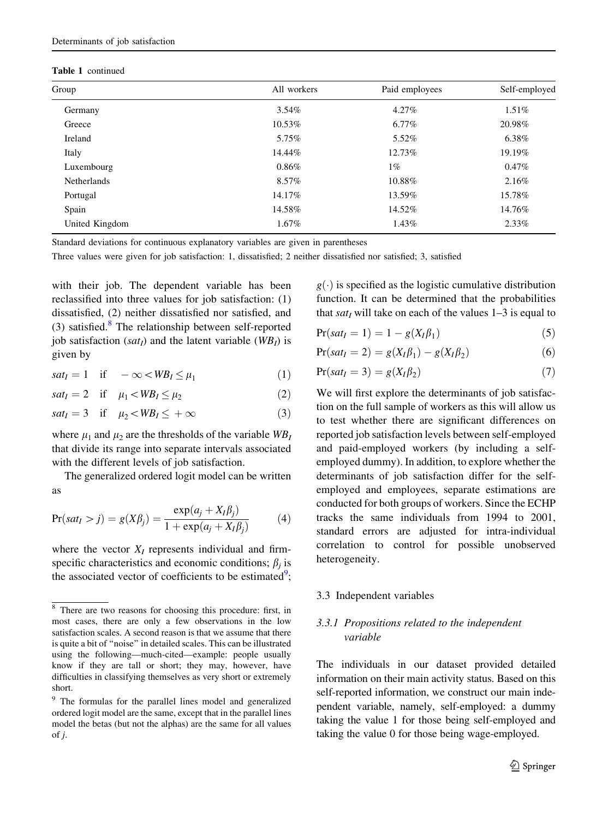| Group              | All workers | Paid employees | Self-employed |
|--------------------|-------------|----------------|---------------|
| Germany            | $3.54\%$    | 4.27%          | 1.51%         |
| Greece             | 10.53%      | 6.77%          | 20.98%        |
| Ireland            | 5.75%       | 5.52%          | 6.38%         |
| Italy              | 14.44%      | 12.73%         | 19.19%        |
| Luxembourg         | 0.86%       | $1\%$          | $0.47\%$      |
| <b>Netherlands</b> | 8.57%       | 10.88%         | 2.16%         |
| Portugal           | 14.17%      | 13.59%         | 15.78%        |
| Spain              | 14.58%      | 14.52%         | 14.76%        |
| United Kingdom     | 1.67%       | 1.43%          | $2.33\%$      |
|                    |             |                |               |

Standard deviations for continuous explanatory variables are given in parentheses

Three values were given for job satisfaction: 1, dissatisfied; 2 neither dissatisfied nor satisfied; 3, satisfied

with their job. The dependent variable has been reclassified into three values for job satisfaction: (1) dissatisfied, (2) neither dissatisfied nor satisfied, and (3) satisfied. $8$  The relationship between self-reported job satisfaction (sat<sub>I</sub>) and the latent variable (WB<sub>I</sub>) is given by

 $sat_I = 1$  if  $-\infty < W B_I \leq \mu_1$  (1)

$$
sat_I = 2 \quad \text{if} \quad \mu_1 < WB_I \leq \mu_2 \tag{2}
$$

$$
sat_I = 3 \quad \text{if} \quad \mu_2 < WB_I \le +\infty \tag{3}
$$

where  $\mu_1$  and  $\mu_2$  are the thresholds of the variable WB<sub>I</sub> that divide its range into separate intervals associated with the different levels of job satisfaction.

The generalized ordered logit model can be written as

$$
Pr(satI > j) = g(X\betaj) = \frac{\exp(a_j + X_I\beta_j)}{1 + \exp(a_j + X_I\beta_j)}
$$
(4)

where the vector  $X_I$  represents individual and firmspecific characteristics and economic conditions;  $\beta_i$  is the associated vector of coefficients to be estimated<sup>9</sup>;

 $g(\cdot)$  is specified as the logistic cumulative distribution function. It can be determined that the probabilities that sat<sub>I</sub> will take on each of the values  $1-3$  is equal to

$$
Pr(sat_1 = 1) = 1 - g(X_1\beta_1)
$$
 (5)

$$
Pr(sat_1 = 2) = g(X_1\beta_1) - g(X_1\beta_2)
$$
 (6)

$$
Pr(sat_I = 3) = g(X_I \beta_2)
$$
\n(7)

We will first explore the determinants of job satisfaction on the full sample of workers as this will allow us to test whether there are significant differences on reported job satisfaction levels between self-employed and paid-employed workers (by including a selfemployed dummy). In addition, to explore whether the determinants of job satisfaction differ for the selfemployed and employees, separate estimations are conducted for both groups of workers. Since the ECHP tracks the same individuals from 1994 to 2001, standard errors are adjusted for intra-individual correlation to control for possible unobserved heterogeneity.

#### 3.3 Independent variables

# 3.3.1 Propositions related to the independent variable

The individuals in our dataset provided detailed information on their main activity status. Based on this self-reported information, we construct our main independent variable, namely, self-employed: a dummy taking the value 1 for those being self-employed and taking the value 0 for those being wage-employed.

<sup>8</sup> There are two reasons for choosing this procedure: first, in most cases, there are only a few observations in the low satisfaction scales. A second reason is that we assume that there is quite a bit of ''noise'' in detailed scales. This can be illustrated using the following—much-cited—example: people usually know if they are tall or short; they may, however, have difficulties in classifying themselves as very short or extremely short.

<sup>&</sup>lt;sup>9</sup> The formulas for the parallel lines model and generalized ordered logit model are the same, except that in the parallel lines model the betas (but not the alphas) are the same for all values of j.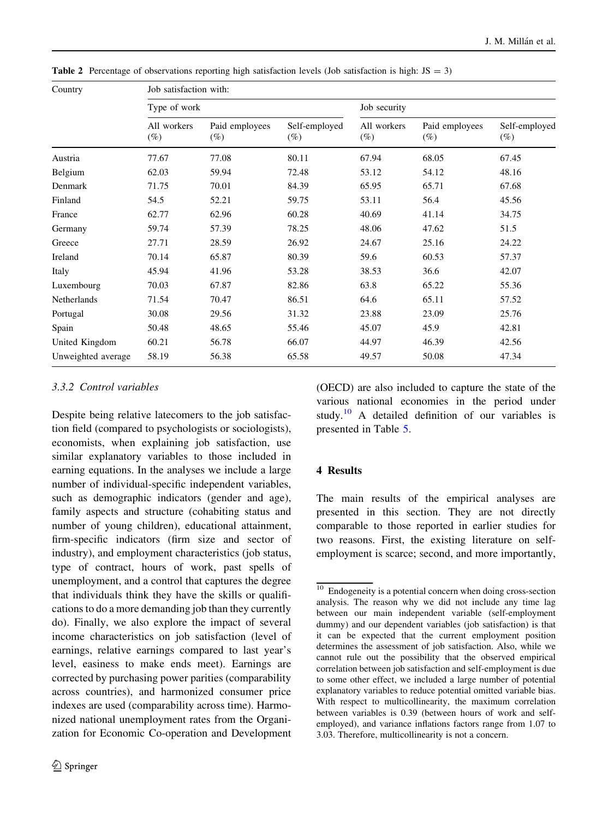| Country            | Job satisfaction with: |                          |                         |                       |                          |                         |  |  |
|--------------------|------------------------|--------------------------|-------------------------|-----------------------|--------------------------|-------------------------|--|--|
|                    | Type of work           |                          |                         | Job security          |                          |                         |  |  |
|                    | All workers<br>$(\%)$  | Paid employees<br>$(\%)$ | Self-employed<br>$(\%)$ | All workers<br>$(\%)$ | Paid employees<br>$(\%)$ | Self-employed<br>$(\%)$ |  |  |
| Austria            | 77.67                  | 77.08                    | 80.11                   | 67.94                 | 68.05                    | 67.45                   |  |  |
| Belgium            | 62.03                  | 59.94                    | 72.48                   | 53.12                 | 54.12                    | 48.16                   |  |  |
| Denmark            | 71.75                  | 70.01                    | 84.39                   | 65.95                 | 65.71                    | 67.68                   |  |  |
| Finland            | 54.5                   | 52.21                    | 59.75                   | 53.11                 | 56.4                     | 45.56                   |  |  |
| France             | 62.77                  | 62.96                    | 60.28                   | 40.69                 | 41.14                    | 34.75                   |  |  |
| Germany            | 59.74                  | 57.39                    | 78.25                   | 48.06                 | 47.62                    | 51.5                    |  |  |
| Greece             | 27.71                  | 28.59                    | 26.92                   | 24.67                 | 25.16                    | 24.22                   |  |  |
| Ireland            | 70.14                  | 65.87                    | 80.39                   | 59.6                  | 60.53                    | 57.37                   |  |  |
| Italy              | 45.94                  | 41.96                    | 53.28                   | 38.53                 | 36.6                     | 42.07                   |  |  |
| Luxembourg         | 70.03                  | 67.87                    | 82.86                   | 63.8                  | 65.22                    | 55.36                   |  |  |
| <b>Netherlands</b> | 71.54                  | 70.47                    | 86.51                   | 64.6                  | 65.11                    | 57.52                   |  |  |
| Portugal           | 30.08                  | 29.56                    | 31.32                   | 23.88                 | 23.09                    | 25.76                   |  |  |
| Spain              | 50.48                  | 48.65                    | 55.46                   | 45.07                 | 45.9                     | 42.81                   |  |  |
| United Kingdom     | 60.21                  | 56.78                    | 66.07                   | 44.97                 | 46.39                    | 42.56                   |  |  |
| Unweighted average | 58.19                  | 56.38                    | 65.58                   | 49.57                 | 50.08                    | 47.34                   |  |  |

<span id="page-7-0"></span>**Table 2** Percentage of observations reporting high satisfaction levels (Job satisfaction is high:  $JS = 3$ )

# 3.3.2 Control variables

Despite being relative latecomers to the job satisfaction field (compared to psychologists or sociologists), economists, when explaining job satisfaction, use similar explanatory variables to those included in earning equations. In the analyses we include a large number of individual-specific independent variables, such as demographic indicators (gender and age), family aspects and structure (cohabiting status and number of young children), educational attainment, firm-specific indicators (firm size and sector of industry), and employment characteristics (job status, type of contract, hours of work, past spells of unemployment, and a control that captures the degree that individuals think they have the skills or qualifications to do a more demanding job than they currently do). Finally, we also explore the impact of several income characteristics on job satisfaction (level of earnings, relative earnings compared to last year's level, easiness to make ends meet). Earnings are corrected by purchasing power parities (comparability across countries), and harmonized consumer price indexes are used (comparability across time). Harmonized national unemployment rates from the Organization for Economic Co-operation and Development

(OECD) are also included to capture the state of the various national economies in the period under study.<sup>10</sup> A detailed definition of our variables is presented in Table [5.](#page-15-0)

# 4 Results

The main results of the empirical analyses are presented in this section. They are not directly comparable to those reported in earlier studies for two reasons. First, the existing literature on selfemployment is scarce; second, and more importantly,

 $\frac{10}{10}$  Endogeneity is a potential concern when doing cross-section analysis. The reason why we did not include any time lag between our main independent variable (self-employment dummy) and our dependent variables (job satisfaction) is that it can be expected that the current employment position determines the assessment of job satisfaction. Also, while we cannot rule out the possibility that the observed empirical correlation between job satisfaction and self-employment is due to some other effect, we included a large number of potential explanatory variables to reduce potential omitted variable bias. With respect to multicollinearity, the maximum correlation between variables is 0.39 (between hours of work and selfemployed), and variance inflations factors range from 1.07 to 3.03. Therefore, multicollinearity is not a concern.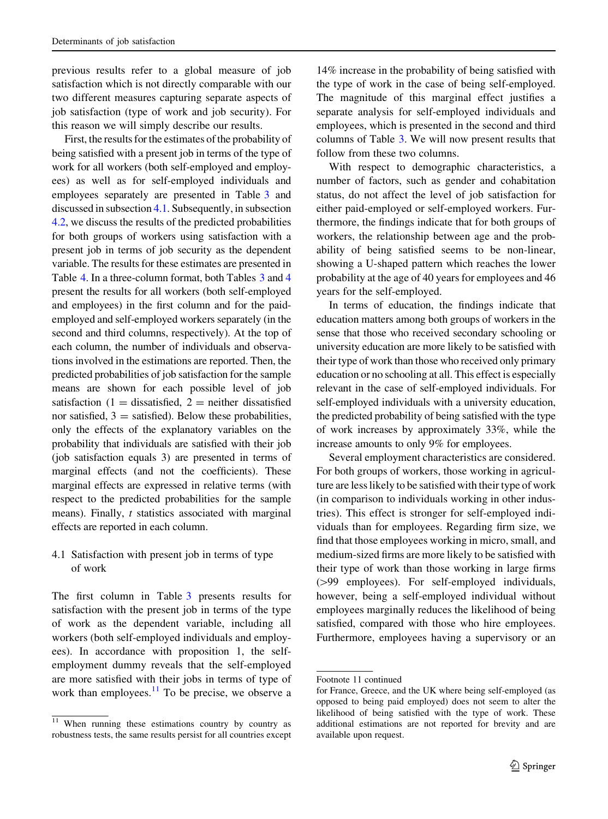previous results refer to a global measure of job satisfaction which is not directly comparable with our two different measures capturing separate aspects of job satisfaction (type of work and job security). For this reason we will simply describe our results.

First, the results for the estimates of the probability of being satisfied with a present job in terms of the type of work for all workers (both self-employed and employees) as well as for self-employed individuals and employees separately are presented in Table [3](#page-9-0) and discussed in subsection 4.1. Subsequently, in subsection [4.2,](#page-10-0) we discuss the results of the predicted probabilities for both groups of workers using satisfaction with a present job in terms of job security as the dependent variable. The results for these estimates are presented in Table [4](#page-11-0). In a three-column format, both Tables [3](#page-9-0) and [4](#page-11-0) present the results for all workers (both self-employed and employees) in the first column and for the paidemployed and self-employed workers separately (in the second and third columns, respectively). At the top of each column, the number of individuals and observations involved in the estimations are reported. Then, the predicted probabilities of job satisfaction for the sample means are shown for each possible level of job satisfaction (1 = dissatisfied, 2 = neither dissatisfied nor satisfied,  $3 =$  satisfied). Below these probabilities, only the effects of the explanatory variables on the probability that individuals are satisfied with their job (job satisfaction equals 3) are presented in terms of marginal effects (and not the coefficients). These marginal effects are expressed in relative terms (with respect to the predicted probabilities for the sample means). Finally, t statistics associated with marginal effects are reported in each column.

4.1 Satisfaction with present job in terms of type of work

The first column in Table [3](#page-9-0) presents results for satisfaction with the present job in terms of the type of work as the dependent variable, including all workers (both self-employed individuals and employees). In accordance with proposition 1, the selfemployment dummy reveals that the self-employed are more satisfied with their jobs in terms of type of work than employees. $\frac{11}{10}$  To be precise, we observe a

14% increase in the probability of being satisfied with the type of work in the case of being self-employed. The magnitude of this marginal effect justifies a separate analysis for self-employed individuals and employees, which is presented in the second and third columns of Table [3.](#page-9-0) We will now present results that follow from these two columns.

With respect to demographic characteristics, a number of factors, such as gender and cohabitation status, do not affect the level of job satisfaction for either paid-employed or self-employed workers. Furthermore, the findings indicate that for both groups of workers, the relationship between age and the probability of being satisfied seems to be non-linear, showing a U-shaped pattern which reaches the lower probability at the age of 40 years for employees and 46 years for the self-employed.

In terms of education, the findings indicate that education matters among both groups of workers in the sense that those who received secondary schooling or university education are more likely to be satisfied with their type of work than those who received only primary education or no schooling at all. This effect is especially relevant in the case of self-employed individuals. For self-employed individuals with a university education, the predicted probability of being satisfied with the type of work increases by approximately 33%, while the increase amounts to only 9% for employees.

Several employment characteristics are considered. For both groups of workers, those working in agriculture are less likely to be satisfied with their type of work (in comparison to individuals working in other industries). This effect is stronger for self-employed individuals than for employees. Regarding firm size, we find that those employees working in micro, small, and medium-sized firms are more likely to be satisfied with their type of work than those working in large firms (>99 employees). For self-employed individuals, however, being a self-employed individual without employees marginally reduces the likelihood of being satisfied, compared with those who hire employees. Furthermore, employees having a supervisory or an

 $11$  When running these estimations country by country as robustness tests, the same results persist for all countries except

Footnote 11 continued

for France, Greece, and the UK where being self-employed (as opposed to being paid employed) does not seem to alter the likelihood of being satisfied with the type of work. These additional estimations are not reported for brevity and are available upon request.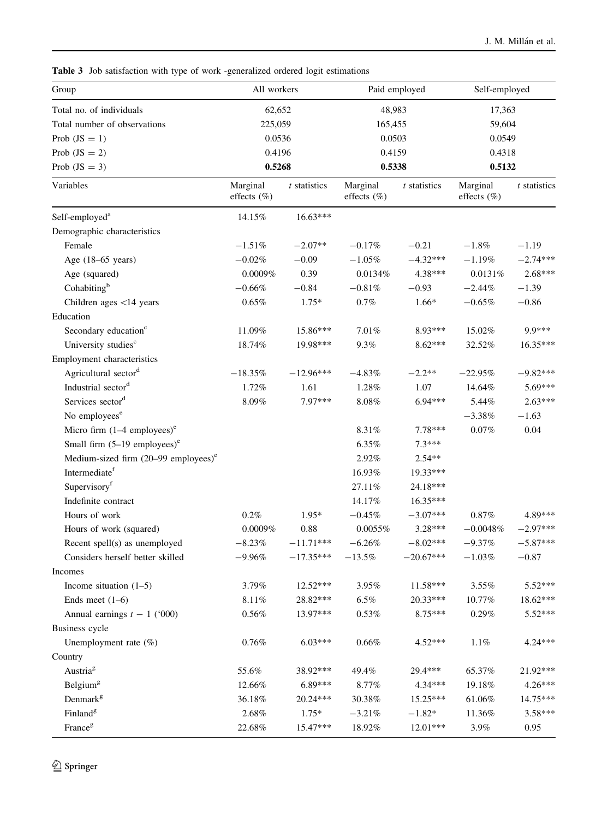<span id="page-9-0"></span>Table 3 Job satisfaction with type of work -generalized ordered logit estimations

| Group                                           | All workers                |                | Paid employed              |                | Self-employed               |              |
|-------------------------------------------------|----------------------------|----------------|----------------------------|----------------|-----------------------------|--------------|
| Total no. of individuals                        | 62,652                     |                | 48,983                     |                | 17,363                      |              |
| Total number of observations                    | 225,059                    |                |                            | 165,455        |                             | 59,604       |
| Prob $(JS = 1)$                                 | 0.0536                     |                | 0.0503                     |                | 0.0549                      |              |
| Prob $(JS = 2)$                                 | 0.4196                     |                | 0.4159                     |                | 0.4318                      |              |
| Prob $(JS = 3)$                                 | 0.5268                     |                | 0.5338                     |                | 0.5132                      |              |
| Variables                                       | Marginal<br>effects $(\%)$ | $t$ statistics | Marginal<br>effects $(\%)$ | $t$ statistics | Marginal<br>effects $(\% )$ | t statistics |
| Self-employed <sup>a</sup>                      | 14.15%                     | $16.63***$     |                            |                |                             |              |
| Demographic characteristics                     |                            |                |                            |                |                             |              |
| Female                                          | $-1.51%$                   | $-2.07**$      | $-0.17%$                   | $-0.21$        | $-1.8\%$                    | $-1.19$      |
| Age $(18-65 \text{ years})$                     | $-0.02%$                   | $-0.09$        | $-1.05%$                   | $-4.32***$     | $-1.19%$                    | $-2.74***$   |
| Age (squared)                                   | 0.0009%                    | 0.39           | 0.0134%                    | 4.38***        | 0.0131%                     | $2.68***$    |
| Cohabiting <sup>b</sup>                         | $-0.66%$                   | $-0.84$        | $-0.81\%$                  | $-0.93$        | $-2.44%$                    | $-1.39$      |
| Children ages <14 years                         | 0.65%                      | $1.75*$        | 0.7%                       | $1.66*$        | $-0.65\%$                   | $-0.86$      |
| Education                                       |                            |                |                            |                |                             |              |
| Secondary education <sup>c</sup>                | 11.09%                     | 15.86***       | 7.01%                      | $8.93***$      | 15.02%                      | 9.9***       |
| University studies <sup>c</sup>                 | 18.74%                     | 19.98***       | 9.3%                       | $8.62***$      | 32.52%                      | $16.35***$   |
| Employment characteristics                      |                            |                |                            |                |                             |              |
| Agricultural sector <sup>d</sup>                | $-18.35%$                  | $-12.96***$    | $-4.83%$                   | $-2.2**$       | $-22.95%$                   | $-9.82***$   |
| Industrial sector <sup>d</sup>                  | 1.72%                      | 1.61           | 1.28%                      | 1.07           | 14.64%                      | 5.69***      |
| Services sector <sup>d</sup>                    | 8.09%                      | 7.97***        | $8.08\%$                   | $6.94***$      | 5.44%                       | $2.63***$    |
| No employees <sup>e</sup>                       |                            |                |                            |                | $-3.38%$                    | $-1.63$      |
| Micro firm $(1-4 \text{ employees})^e$          |                            |                | 8.31%                      | 7.78***        | 0.07%                       | 0.04         |
| Small firm $(5-19 \text{ employees})^e$         |                            |                | 6.35%                      | $7.3***$       |                             |              |
| Medium-sized firm $(20-99 \text{ employees})^e$ |                            |                | 2.92%                      | $2.54**$       |                             |              |
| Intermediate $f$                                |                            |                | 16.93%                     | 19.33***       |                             |              |
| Supervisory <sup>f</sup>                        |                            |                | 27.11%                     | 24.18***       |                             |              |
| Indefinite contract                             |                            |                | 14.17%                     | $16.35***$     |                             |              |
| Hours of work                                   | 0.2%                       | $1.95*$        | $-0.45%$                   | $-3.07***$     | 0.87%                       | 4.89***      |
| Hours of work (squared)                         | 0.0009%                    | 0.88           | 0.0055%                    | $3.28***$      | $-0.0048%$                  | $-2.97***$   |
| Recent spell(s) as unemployed                   | $-8.23%$                   | $-11.71***$    | $-6.26%$                   | $-8.02***$     | $-9.37%$                    | $-5.87***$   |
| Considers herself better skilled                | $-9.96%$                   | $-17.35***$    | $-13.5%$                   | $-20.67***$    | $-1.03%$                    | $-0.87$      |
| Incomes                                         |                            |                |                            |                |                             |              |
| Income situation $(1-5)$                        | 3.79%                      | 12.52***       | 3.95%                      | $11.58***$     | 3.55%                       | 5.52***      |
| Ends meet $(1-6)$                               | $8.11\%$                   | 28.82***       | $6.5\%$                    | 20.33***       | 10.77%                      | 18.62***     |
| Annual earnings $t - 1$ ('000)                  | $0.56\%$                   | 13.97***       | 0.53%                      | 8.75***        | 0.29%                       | 5.52***      |
| <b>Business</b> cycle                           |                            |                |                            |                |                             |              |
| Unemployment rate (%)                           | $0.76\%$                   | $6.03***$      | $0.66\%$                   | 4.52***        | 1.1%                        | $4.24***$    |
| Country                                         |                            |                |                            |                |                             |              |
| Austria <sup>g</sup>                            | 55.6%                      | 38.92***       | 49.4%                      | 29.4***        | 65.37%                      | 21.92***     |
| <b>Belgium<sup>g</sup></b>                      | 12.66%                     | $6.89***$      | 8.77%                      | 4.34***        | 19.18%                      | 4.26***      |
| Denmark <sup>g</sup>                            | 36.18%                     | 20.24***       | 30.38%                     | 15.25***       | 61.06%                      | 14.75***     |
| Finland <sup>g</sup>                            | $2.68\%$                   | $1.75*$        | $-3.21%$                   | $-1.82*$       | 11.36%                      | 3.58***      |
| France <sup>g</sup>                             | 22.68%                     | 15.47***       | 18.92%                     | $12.01***$     | $3.9\%$                     | 0.95         |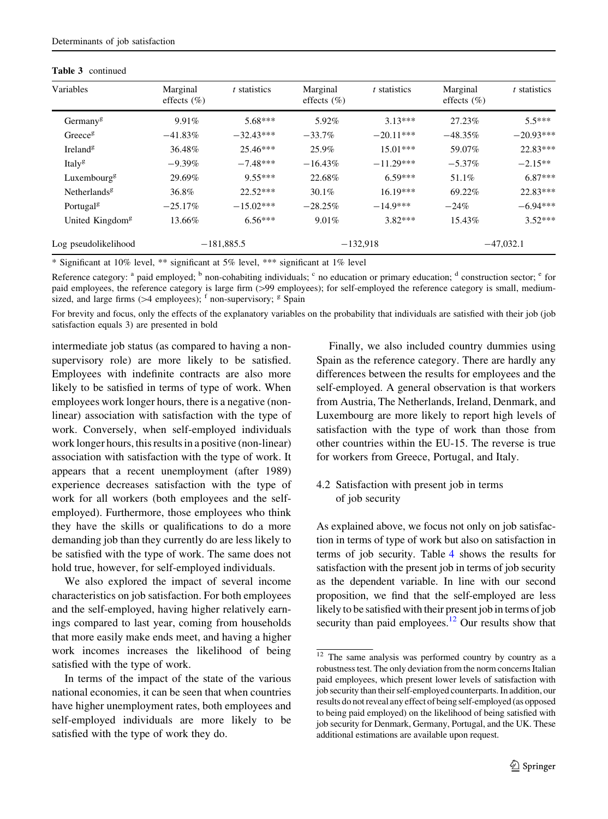<span id="page-10-0"></span>

|  | <b>Table 3</b> continued |
|--|--------------------------|
|--|--------------------------|

| Variables                   | Marginal<br>effects $(\% )$ | t statistics | Marginal<br>effects $(\% )$ | t statistics | Marginal<br>effects $(\% )$ | t statistics |
|-----------------------------|-----------------------------|--------------|-----------------------------|--------------|-----------------------------|--------------|
| Germany <sup>g</sup>        | 9.91%                       | $5.68***$    | $5.92\%$                    | $3.13***$    | 27.23%                      | $5.5***$     |
| Greece <sup>g</sup>         | $-41.83%$                   | $-32.43***$  | $-33.7%$                    | $-20.11***$  | $-48.35%$                   | $-20.93***$  |
| Ireland <sup>g</sup>        | 36.48%                      | $25.46***$   | 25.9%                       | $15.01***$   | 59.07%                      | 22.83***     |
| Italy <sup>g</sup>          | $-9.39\%$                   | $-7.48***$   | $-16.43\%$                  | $-11.29***$  | $-5.37%$                    | $-2.15**$    |
| Luxembourg <sup>g</sup>     | 29.69%                      | $9.55***$    | 22.68%                      | $6.59***$    | 51.1%                       | $6.87***$    |
| Netherlands <sup>g</sup>    | 36.8%                       | $22.52***$   | 30.1%                       | $16.19***$   | 69.22%                      | 22.83***     |
| Portugal <sup>g</sup>       | $-25.17%$                   | $-15.02***$  | $-28.25%$                   | $-14.9***$   | $-24%$                      | $-6.94***$   |
| United Kingdom <sup>g</sup> | 13.66%                      | $6.56***$    | 9.01%                       | $3.82***$    | 15.43%                      | $3.52***$    |
| Log pseudolikelihood        |                             | $-181.885.5$ |                             | $-132.918$   |                             | $-47,032.1$  |

\* Significant at 10% level, \*\* significant at 5% level, \*\*\* significant at 1% level

Reference category:  $a$  paid employed;  $b$  non-cohabiting individuals;  $c$  no education or primary education;  $d$  construction sector;  $c$  for paid employees, the reference category is large firm (>99 employees); for self-employed the reference category is small, mediumsized, and large firms  $(>4$  employees); f non-supervisory; <sup>g</sup> Spain

For brevity and focus, only the effects of the explanatory variables on the probability that individuals are satisfied with their job (job satisfaction equals 3) are presented in bold

intermediate job status (as compared to having a nonsupervisory role) are more likely to be satisfied. Employees with indefinite contracts are also more likely to be satisfied in terms of type of work. When employees work longer hours, there is a negative (nonlinear) association with satisfaction with the type of work. Conversely, when self-employed individuals work longer hours, this results in a positive (non-linear) association with satisfaction with the type of work. It appears that a recent unemployment (after 1989) experience decreases satisfaction with the type of work for all workers (both employees and the selfemployed). Furthermore, those employees who think they have the skills or qualifications to do a more demanding job than they currently do are less likely to be satisfied with the type of work. The same does not hold true, however, for self-employed individuals.

We also explored the impact of several income characteristics on job satisfaction. For both employees and the self-employed, having higher relatively earnings compared to last year, coming from households that more easily make ends meet, and having a higher work incomes increases the likelihood of being satisfied with the type of work.

In terms of the impact of the state of the various national economies, it can be seen that when countries have higher unemployment rates, both employees and self-employed individuals are more likely to be satisfied with the type of work they do.

Finally, we also included country dummies using Spain as the reference category. There are hardly any differences between the results for employees and the self-employed. A general observation is that workers from Austria, The Netherlands, Ireland, Denmark, and Luxembourg are more likely to report high levels of satisfaction with the type of work than those from other countries within the EU-15. The reverse is true for workers from Greece, Portugal, and Italy.

4.2 Satisfaction with present job in terms of job security

As explained above, we focus not only on job satisfaction in terms of type of work but also on satisfaction in terms of job security. Table [4](#page-11-0) shows the results for satisfaction with the present job in terms of job security as the dependent variable. In line with our second proposition, we find that the self-employed are less likely to be satisfied with their present job in terms of job security than paid employees. $12$  Our results show that

<sup>&</sup>lt;sup>12</sup> The same analysis was performed country by country as a robustness test. The only deviation from the norm concerns Italian paid employees, which present lower levels of satisfaction with job security than their self-employed counterparts. In addition, our results do not reveal any effect of being self-employed (as opposed to being paid employed) on the likelihood of being satisfied with job security for Denmark, Germany, Portugal, and the UK. These additional estimations are available upon request.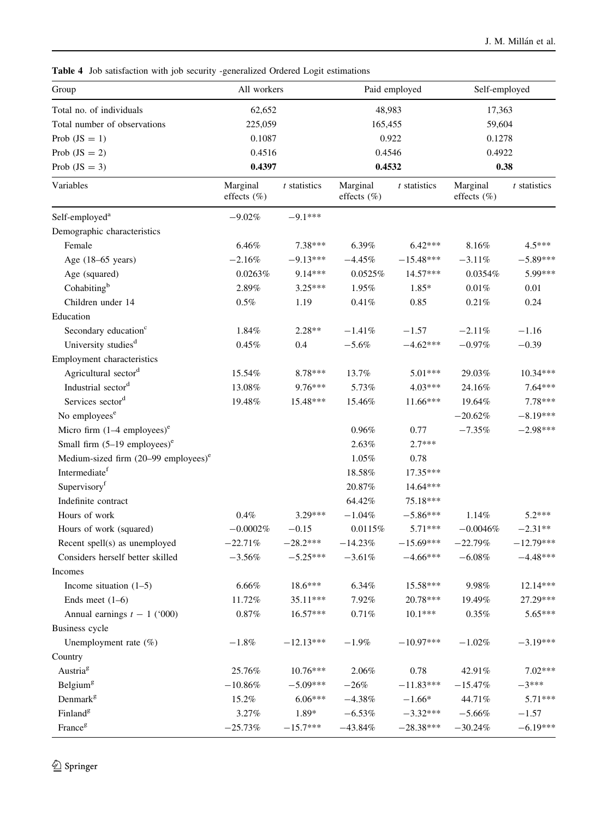<span id="page-11-0"></span>Table 4 Job satisfaction with job security -generalized Ordered Logit estimations

| Group                                           | All workers             |                |                             | Paid employed  | Self-employed           |              |
|-------------------------------------------------|-------------------------|----------------|-----------------------------|----------------|-------------------------|--------------|
| Total no. of individuals                        | 62,652                  |                | 48,983                      |                | 17,363                  |              |
| Total number of observations                    | 225,059                 |                | 165,455                     |                | 59,604                  |              |
| Prob $(JS = 1)$                                 | 0.1087                  |                | 0.922                       |                | 0.1278                  |              |
| Prob $(JS = 2)$                                 | 0.4516                  |                | 0.4546                      |                | 0.4922                  |              |
| Prob $(JS = 3)$                                 | 0.4397                  |                | 0.4532                      |                | 0.38                    |              |
| Variables                                       | Marginal<br>effects (%) | $t$ statistics | Marginal<br>effects $(\% )$ | $t$ statistics | Marginal<br>effects (%) | t statistics |
| Self-employed <sup>a</sup>                      | $-9.02%$                | $-9.1***$      |                             |                |                         |              |
| Demographic characteristics                     |                         |                |                             |                |                         |              |
| Female                                          | 6.46%                   | 7.38***        | 6.39%                       | $6.42***$      | 8.16%                   | $4.5***$     |
| Age (18-65 years)                               | $-2.16%$                | $-9.13***$     | $-4.45%$                    | $-15.48***$    | $-3.11%$                | $-5.89***$   |
| Age (squared)                                   | 0.0263%                 | $9.14***$      | 0.0525%                     | 14.57***       | 0.0354%                 | 5.99***      |
| Cohabiting <sup>b</sup>                         | 2.89%                   | $3.25***$      | 1.95%                       | $1.85*$        | 0.01%                   | 0.01         |
| Children under 14                               | 0.5%                    | 1.19           | 0.41%                       | 0.85           | 0.21%                   | 0.24         |
| Education                                       |                         |                |                             |                |                         |              |
| Secondary education <sup>c</sup>                | 1.84%                   | $2.28**$       | $-1.41%$                    | $-1.57$        | $-2.11%$                | $-1.16$      |
| University studies <sup>d</sup>                 | 0.45%                   | 0.4            | $-5.6%$                     | $-4.62***$     | $-0.97%$                | $-0.39$      |
| Employment characteristics                      |                         |                |                             |                |                         |              |
| Agricultural sector <sup>d</sup>                | 15.54%                  | 8.78***        | 13.7%                       | $5.01***$      | 29.03%                  | $10.34***$   |
| Industrial sector <sup>d</sup>                  | 13.08%                  | $9.76***$      | 5.73%                       | $4.03***$      | 24.16%                  | $7.64***$    |
| Services sector <sup>d</sup>                    | 19.48%                  | 15.48***       | 15.46%                      | 11.66***       | 19.64%                  | 7.78***      |
| No employees <sup>e</sup>                       |                         |                |                             |                | $-20.62%$               | $-8.19***$   |
| Micro firm $(1-4 \text{ employees})^e$          |                         |                | 0.96%                       | 0.77           | $-7.35%$                | $-2.98***$   |
| Small firm $(5-19 \text{ employees})^e$         |                         |                | 2.63%                       | $2.7***$       |                         |              |
| Medium-sized firm $(20-99 \text{ employees})^e$ |                         |                | 1.05%                       | 0.78           |                         |              |
| Intermediatef                                   |                         |                | 18.58%                      | 17.35***       |                         |              |
| Supervisory <sup>f</sup>                        |                         |                | 20.87%                      | 14.64***       |                         |              |
| Indefinite contract                             |                         |                | 64.42%                      | 75.18***       |                         |              |
| Hours of work                                   | 0.4%                    | $3.29***$      | $-1.04%$                    | $-5.86***$     | 1.14%                   | $5.2***$     |
| Hours of work (squared)                         | $-0.0002%$              | $-0.15$        | 0.0115%                     | $5.71***$      | $-0.0046%$              | $-2.31**$    |
| Recent spell(s) as unemployed                   | $-22.71%$               | $-28.2***$     | $-14.23%$                   | $-15.69***$    | $-22.79%$               | $-12.79***$  |
| Considers herself better skilled                | $-3.56%$                | $-5.25***$     | $-3.61%$                    | $-4.66***$     | $-6.08%$                | $-4.48***$   |
| Incomes                                         |                         |                |                             |                |                         |              |
| Income situation $(1-5)$                        | 6.66%                   | $18.6***$      | $6.34\%$                    | 15.58***       | 9.98%                   | $12.14***$   |
| Ends meet $(1-6)$                               | 11.72%                  | 35.11***       | 7.92%                       | 20.78***       | 19.49%                  | 27.29***     |
| Annual earnings $t - 1$ ('000)                  | $0.87\%$                | 16.57***       | 0.71%                       | $10.1***$      | $0.35\%$                | 5.65***      |
| <b>Business</b> cycle                           |                         |                |                             |                |                         |              |
| Unemployment rate $(\%)$                        | $-1.8\%$                | $-12.13***$    | $-1.9%$                     | $-10.97***$    | $-1.02%$                | $-3.19***$   |
| Country                                         |                         |                |                             |                |                         |              |
| Austria <sup>g</sup>                            | 25.76%                  | $10.76***$     | 2.06%                       | 0.78           | 42.91%                  | 7.02***      |
| Belgium <sup>g</sup>                            | $-10.86%$               | $-5.09***$     | $-26%$                      | $-11.83***$    | $-15.47%$               | $-3***$      |
| Denmark <sup>g</sup>                            | 15.2%                   | $6.06***$      | $-4.38%$                    | $-1.66*$       | 44.71%                  | 5.71***      |
| Finland <sup>g</sup>                            | 3.27%                   | 1.89*          | $-6.53%$                    | $-3.32***$     | $-5.66%$                | $-1.57$      |
| France <sup>g</sup>                             | $-25.73%$               | $-15.7***$     | $-43.84%$                   | $-28.38***$    | $-30.24%$               | $-6.19***$   |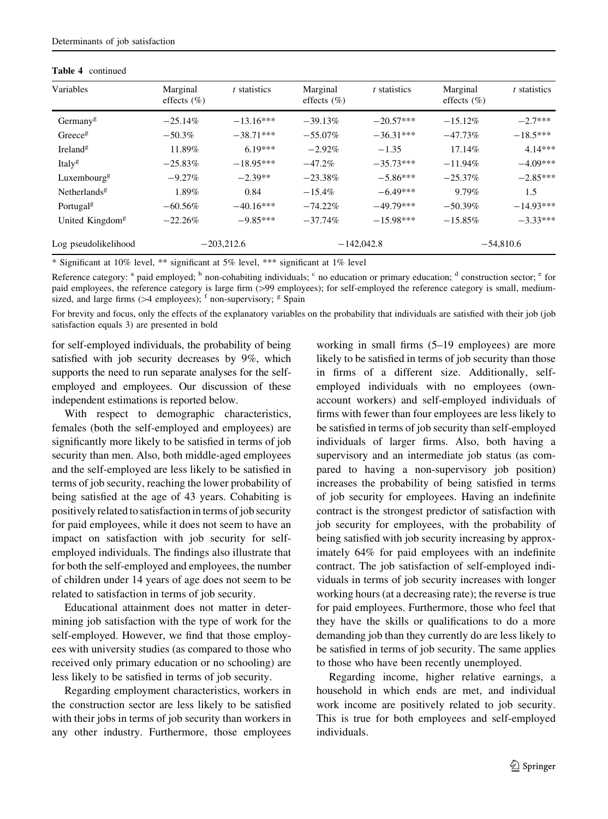| <b>Table 4</b> continued |
|--------------------------|
|                          |

| Variables                   | Marginal<br>effects $(\% )$ | t statistics | Marginal<br>effects $(\% )$ | t statistics | Marginal<br>effects $(\% )$ | t statistics |
|-----------------------------|-----------------------------|--------------|-----------------------------|--------------|-----------------------------|--------------|
| Germany <sup>g</sup>        | $-25.14\%$                  | $-13.16***$  | $-39.13%$                   | $-20.57***$  | $-15.12\%$                  | $-2.7***$    |
| Greeze <sup>g</sup>         | $-50.3\%$                   | $-38.71***$  | $-55.07\%$                  | $-36.31***$  | $-47.73%$                   | $-18.5***$   |
| Ireland <sup>g</sup>        | 11.89%                      | $6.19***$    | $-2.92\%$                   | $-1.35$      | 17.14%                      | $4.14***$    |
| Italy <sup>g</sup>          | $-25.83%$                   | $-18.95***$  | $-47.2%$                    | $-35.73***$  | $-11.94\%$                  | $-4.09***$   |
| Luxembourg <sup>g</sup>     | $-9.27%$                    | $-2.39**$    | $-23.38\%$                  | $-5.86***$   | $-25.37\%$                  | $-2.85***$   |
| Netherlands <sup>g</sup>    | 1.89%                       | 0.84         | $-15.4%$                    | $-6.49***$   | $9.79\%$                    | 1.5          |
| Portugal <sup>g</sup>       | $-60.56\%$                  | $-40.16***$  | $-74.22\%$                  | $-49.79***$  | $-50.39\%$                  | $-14.93***$  |
| United Kingdom <sup>g</sup> | $-22.26%$                   | $-9.85***$   | $-37.74%$                   | $-15.98***$  | $-15.85%$                   | $-3.33***$   |
| Log pseudolikelihood        |                             | $-203,212.6$ |                             | $-142,042.8$ |                             | $-54,810.6$  |

\* Significant at 10% level, \*\* significant at 5% level, \*\*\* significant at 1% level

Reference category:  $a$  paid employed;  $b$  non-cohabiting individuals;  $c$  no education or primary education;  $d$  construction sector;  $c$  for paid employees, the reference category is large firm (>99 employees); for self-employed the reference category is small, mediumsized, and large firms ( $>4$  employees); f non-supervisory; <sup>g</sup> Spain

For brevity and focus, only the effects of the explanatory variables on the probability that individuals are satisfied with their job (job satisfaction equals 3) are presented in bold

for self-employed individuals, the probability of being satisfied with job security decreases by 9%, which supports the need to run separate analyses for the selfemployed and employees. Our discussion of these independent estimations is reported below.

With respect to demographic characteristics, females (both the self-employed and employees) are significantly more likely to be satisfied in terms of job security than men. Also, both middle-aged employees and the self-employed are less likely to be satisfied in terms of job security, reaching the lower probability of being satisfied at the age of 43 years. Cohabiting is positively related to satisfaction in terms of job security for paid employees, while it does not seem to have an impact on satisfaction with job security for selfemployed individuals. The findings also illustrate that for both the self-employed and employees, the number of children under 14 years of age does not seem to be related to satisfaction in terms of job security.

Educational attainment does not matter in determining job satisfaction with the type of work for the self-employed. However, we find that those employees with university studies (as compared to those who received only primary education or no schooling) are less likely to be satisfied in terms of job security.

Regarding employment characteristics, workers in the construction sector are less likely to be satisfied with their jobs in terms of job security than workers in any other industry. Furthermore, those employees working in small firms (5–19 employees) are more likely to be satisfied in terms of job security than those in firms of a different size. Additionally, selfemployed individuals with no employees (ownaccount workers) and self-employed individuals of firms with fewer than four employees are less likely to be satisfied in terms of job security than self-employed individuals of larger firms. Also, both having a supervisory and an intermediate job status (as compared to having a non-supervisory job position) increases the probability of being satisfied in terms of job security for employees. Having an indefinite contract is the strongest predictor of satisfaction with job security for employees, with the probability of being satisfied with job security increasing by approximately 64% for paid employees with an indefinite contract. The job satisfaction of self-employed individuals in terms of job security increases with longer working hours (at a decreasing rate); the reverse is true for paid employees. Furthermore, those who feel that they have the skills or qualifications to do a more demanding job than they currently do are less likely to be satisfied in terms of job security. The same applies to those who have been recently unemployed.

Regarding income, higher relative earnings, a household in which ends are met, and individual work income are positively related to job security. This is true for both employees and self-employed individuals.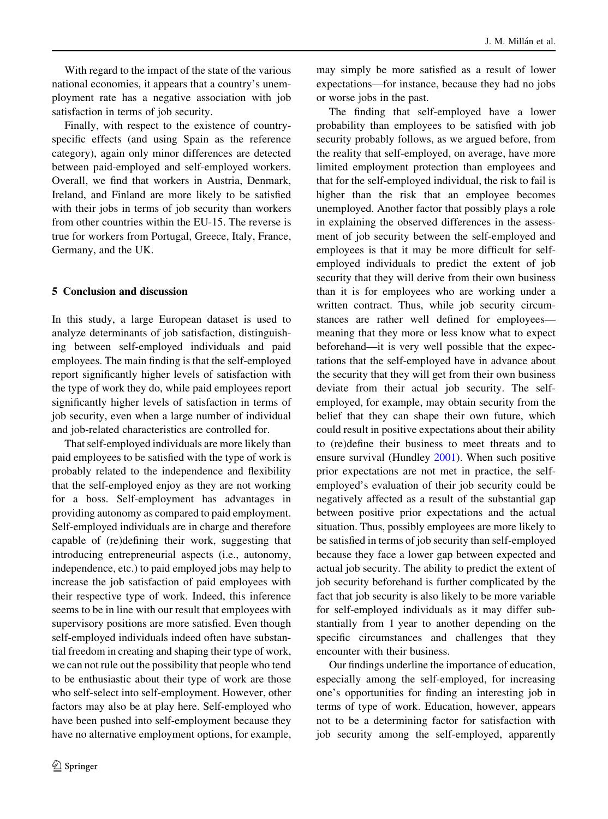<span id="page-13-0"></span>With regard to the impact of the state of the various national economies, it appears that a country's unemployment rate has a negative association with job satisfaction in terms of job security.

Finally, with respect to the existence of countryspecific effects (and using Spain as the reference category), again only minor differences are detected between paid-employed and self-employed workers. Overall, we find that workers in Austria, Denmark, Ireland, and Finland are more likely to be satisfied with their jobs in terms of job security than workers from other countries within the EU-15. The reverse is true for workers from Portugal, Greece, Italy, France, Germany, and the UK.

### 5 Conclusion and discussion

In this study, a large European dataset is used to analyze determinants of job satisfaction, distinguishing between self-employed individuals and paid employees. The main finding is that the self-employed report significantly higher levels of satisfaction with the type of work they do, while paid employees report significantly higher levels of satisfaction in terms of job security, even when a large number of individual and job-related characteristics are controlled for.

That self-employed individuals are more likely than paid employees to be satisfied with the type of work is probably related to the independence and flexibility that the self-employed enjoy as they are not working for a boss. Self-employment has advantages in providing autonomy as compared to paid employment. Self-employed individuals are in charge and therefore capable of (re)defining their work, suggesting that introducing entrepreneurial aspects (i.e., autonomy, independence, etc.) to paid employed jobs may help to increase the job satisfaction of paid employees with their respective type of work. Indeed, this inference seems to be in line with our result that employees with supervisory positions are more satisfied. Even though self-employed individuals indeed often have substantial freedom in creating and shaping their type of work, we can not rule out the possibility that people who tend to be enthusiastic about their type of work are those who self-select into self-employment. However, other factors may also be at play here. Self-employed who have been pushed into self-employment because they have no alternative employment options, for example,

may simply be more satisfied as a result of lower expectations—for instance, because they had no jobs or worse jobs in the past.

The finding that self-employed have a lower probability than employees to be satisfied with job security probably follows, as we argued before, from the reality that self-employed, on average, have more limited employment protection than employees and that for the self-employed individual, the risk to fail is higher than the risk that an employee becomes unemployed. Another factor that possibly plays a role in explaining the observed differences in the assessment of job security between the self-employed and employees is that it may be more difficult for selfemployed individuals to predict the extent of job security that they will derive from their own business than it is for employees who are working under a written contract. Thus, while job security circumstances are rather well defined for employees meaning that they more or less know what to expect beforehand—it is very well possible that the expectations that the self-employed have in advance about the security that they will get from their own business deviate from their actual job security. The selfemployed, for example, may obtain security from the belief that they can shape their own future, which could result in positive expectations about their ability to (re)define their business to meet threats and to ensure survival (Hundley [2001\)](#page-18-0). When such positive prior expectations are not met in practice, the selfemployed's evaluation of their job security could be negatively affected as a result of the substantial gap between positive prior expectations and the actual situation. Thus, possibly employees are more likely to be satisfied in terms of job security than self-employed because they face a lower gap between expected and actual job security. The ability to predict the extent of job security beforehand is further complicated by the fact that job security is also likely to be more variable for self-employed individuals as it may differ substantially from 1 year to another depending on the specific circumstances and challenges that they encounter with their business.

Our findings underline the importance of education, especially among the self-employed, for increasing one's opportunities for finding an interesting job in terms of type of work. Education, however, appears not to be a determining factor for satisfaction with job security among the self-employed, apparently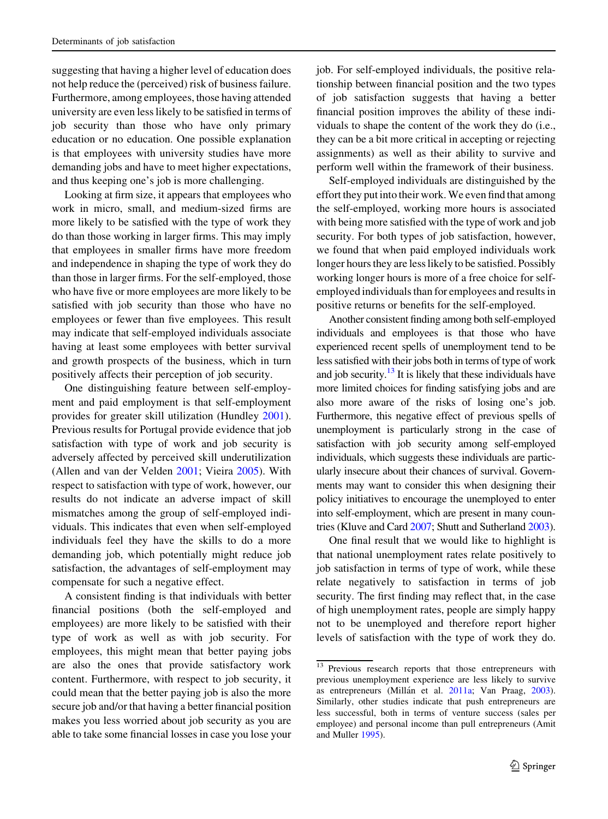suggesting that having a higher level of education does not help reduce the (perceived) risk of business failure. Furthermore, among employees, those having attended university are even less likely to be satisfied in terms of job security than those who have only primary education or no education. One possible explanation is that employees with university studies have more demanding jobs and have to meet higher expectations, and thus keeping one's job is more challenging.

Looking at firm size, it appears that employees who work in micro, small, and medium-sized firms are more likely to be satisfied with the type of work they do than those working in larger firms. This may imply that employees in smaller firms have more freedom and independence in shaping the type of work they do than those in larger firms. For the self-employed, those who have five or more employees are more likely to be satisfied with job security than those who have no employees or fewer than five employees. This result may indicate that self-employed individuals associate having at least some employees with better survival and growth prospects of the business, which in turn positively affects their perception of job security.

One distinguishing feature between self-employment and paid employment is that self-employment provides for greater skill utilization (Hundley [2001](#page-18-0)). Previous results for Portugal provide evidence that job satisfaction with type of work and job security is adversely affected by perceived skill underutilization (Allen and van der Velden [2001;](#page-17-0) Vieira [2005](#page-19-0)). With respect to satisfaction with type of work, however, our results do not indicate an adverse impact of skill mismatches among the group of self-employed individuals. This indicates that even when self-employed individuals feel they have the skills to do a more demanding job, which potentially might reduce job satisfaction, the advantages of self-employment may compensate for such a negative effect.

A consistent finding is that individuals with better financial positions (both the self-employed and employees) are more likely to be satisfied with their type of work as well as with job security. For employees, this might mean that better paying jobs are also the ones that provide satisfactory work content. Furthermore, with respect to job security, it could mean that the better paying job is also the more secure job and/or that having a better financial position makes you less worried about job security as you are able to take some financial losses in case you lose your

job. For self-employed individuals, the positive relationship between financial position and the two types of job satisfaction suggests that having a better financial position improves the ability of these individuals to shape the content of the work they do (i.e., they can be a bit more critical in accepting or rejecting assignments) as well as their ability to survive and perform well within the framework of their business.

Self-employed individuals are distinguished by the effort they put into their work. We even find that among the self-employed, working more hours is associated with being more satisfied with the type of work and job security. For both types of job satisfaction, however, we found that when paid employed individuals work longer hours they are less likely to be satisfied. Possibly working longer hours is more of a free choice for selfemployed individuals than for employees and results in positive returns or benefits for the self-employed.

Another consistent finding among both self-employed individuals and employees is that those who have experienced recent spells of unemployment tend to be less satisfied with their jobs both in terms of type of work and job security. $13$  It is likely that these individuals have more limited choices for finding satisfying jobs and are also more aware of the risks of losing one's job. Furthermore, this negative effect of previous spells of unemployment is particularly strong in the case of satisfaction with job security among self-employed individuals, which suggests these individuals are particularly insecure about their chances of survival. Governments may want to consider this when designing their policy initiatives to encourage the unemployed to enter into self-employment, which are present in many countries (Kluve and Card [2007](#page-18-0); Shutt and Sutherland [2003\)](#page-18-0).

One final result that we would like to highlight is that national unemployment rates relate positively to job satisfaction in terms of type of work, while these relate negatively to satisfaction in terms of job security. The first finding may reflect that, in the case of high unemployment rates, people are simply happy not to be unemployed and therefore report higher levels of satisfaction with the type of work they do.

 $13$  Previous research reports that those entrepreneurs with previous unemployment experience are less likely to survive as entrepreneurs (Millán et al. [2011a;](#page-18-0) Van Praag, [2003](#page-19-0)). Similarly, other studies indicate that push entrepreneurs are less successful, both in terms of venture success (sales per employee) and personal income than pull entrepreneurs (Amit and Muller [1995\)](#page-17-0).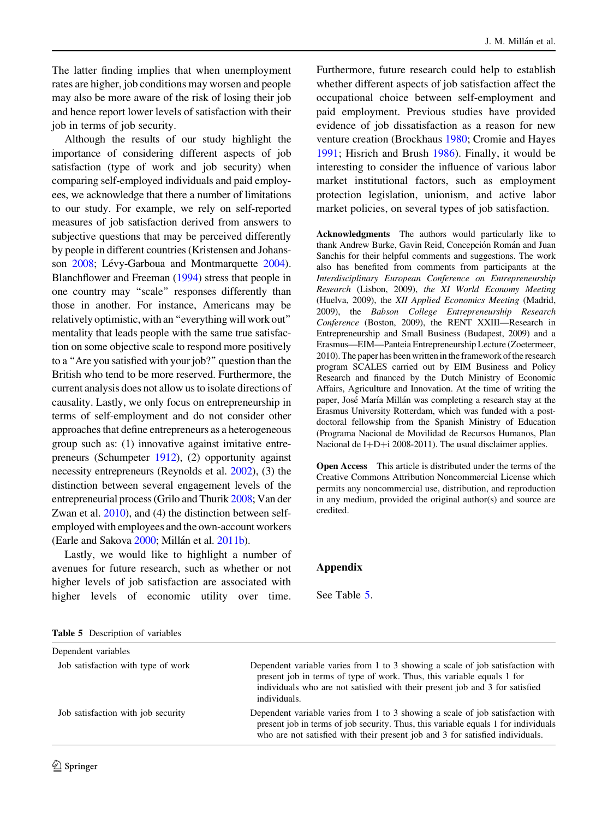<span id="page-15-0"></span>The latter finding implies that when unemployment rates are higher, job conditions may worsen and people may also be more aware of the risk of losing their job and hence report lower levels of satisfaction with their job in terms of job security.

Although the results of our study highlight the importance of considering different aspects of job satisfaction (type of work and job security) when comparing self-employed individuals and paid employees, we acknowledge that there a number of limitations to our study. For example, we rely on self-reported measures of job satisfaction derived from answers to subjective questions that may be perceived differently by people in different countries (Kristensen and Johans-son [2008](#page-18-0); Lévy-Garboua and Montmarquette [2004](#page-18-0)). Blanchflower and Freeman [\(1994](#page-17-0)) stress that people in one country may ''scale'' responses differently than those in another. For instance, Americans may be relatively optimistic, with an ''everything will work out'' mentality that leads people with the same true satisfaction on some objective scale to respond more positively to a ''Are you satisfied with your job?'' question than the British who tend to be more reserved. Furthermore, the current analysis does not allow us to isolate directions of causality. Lastly, we only focus on entrepreneurship in terms of self-employment and do not consider other approaches that define entrepreneurs as a heterogeneous group such as: (1) innovative against imitative entrepreneurs (Schumpeter [1912\)](#page-18-0), (2) opportunity against necessity entrepreneurs (Reynolds et al. [2002\)](#page-18-0), (3) the distinction between several engagement levels of the entrepreneurial process (Grilo and Thurik [2008](#page-18-0); Van der Zwan et al. [2010\)](#page-19-0), and (4) the distinction between selfemployed with employees and the own-account workers (Earle and Sakova [2000](#page-18-0); Millán et al. [2011b\)](#page-18-0).

Lastly, we would like to highlight a number of avenues for future research, such as whether or not higher levels of job satisfaction are associated with higher levels of economic utility over time.

Furthermore, future research could help to establish whether different aspects of job satisfaction affect the occupational choice between self-employment and paid employment. Previous studies have provided evidence of job dissatisfaction as a reason for new venture creation (Brockhaus [1980;](#page-17-0) Cromie and Hayes [1991;](#page-17-0) Hisrich and Brush [1986](#page-18-0)). Finally, it would be interesting to consider the influence of various labor market institutional factors, such as employment protection legislation, unionism, and active labor market policies, on several types of job satisfaction.

Acknowledgments The authors would particularly like to thank Andrew Burke, Gavin Reid, Concepción Román and Juan Sanchis for their helpful comments and suggestions. The work also has benefited from comments from participants at the Interdisciplinary European Conference on Entrepreneurship Research (Lisbon, 2009), the XI World Economy Meeting (Huelva, 2009), the XII Applied Economics Meeting (Madrid, 2009), the Babson College Entrepreneurship Research Conference (Boston, 2009), the RENT XXIII—Research in Entrepreneurship and Small Business (Budapest, 2009) and a Erasmus—EIM—Panteia Entrepreneurship Lecture (Zoetermeer, 2010). The paper has been written in the framework of the research program SCALES carried out by EIM Business and Policy Research and financed by the Dutch Ministry of Economic Affairs, Agriculture and Innovation. At the time of writing the paper, Jose´ Marı´a Milla´n was completing a research stay at the Erasmus University Rotterdam, which was funded with a postdoctoral fellowship from the Spanish Ministry of Education (Programa Nacional de Movilidad de Recursos Humanos, Plan Nacional de I+D+i 2008-2011). The usual disclaimer applies.

Open Access This article is distributed under the terms of the Creative Commons Attribution Noncommercial License which permits any noncommercial use, distribution, and reproduction in any medium, provided the original author(s) and source are credited.

### Appendix

See Table 5.

| Dependent variables                |                                                                                                                                                                                                                                                          |
|------------------------------------|----------------------------------------------------------------------------------------------------------------------------------------------------------------------------------------------------------------------------------------------------------|
| Job satisfaction with type of work | Dependent variable varies from 1 to 3 showing a scale of job satisfaction with<br>present job in terms of type of work. Thus, this variable equals 1 for<br>individuals who are not satisfied with their present job and 3 for satisfied<br>individuals. |
| Job satisfaction with job security | Dependent variable varies from 1 to 3 showing a scale of job satisfaction with<br>present job in terms of job security. Thus, this variable equals 1 for individuals<br>who are not satisfied with their present job and 3 for satisfied individuals.    |

Table 5 Description of variables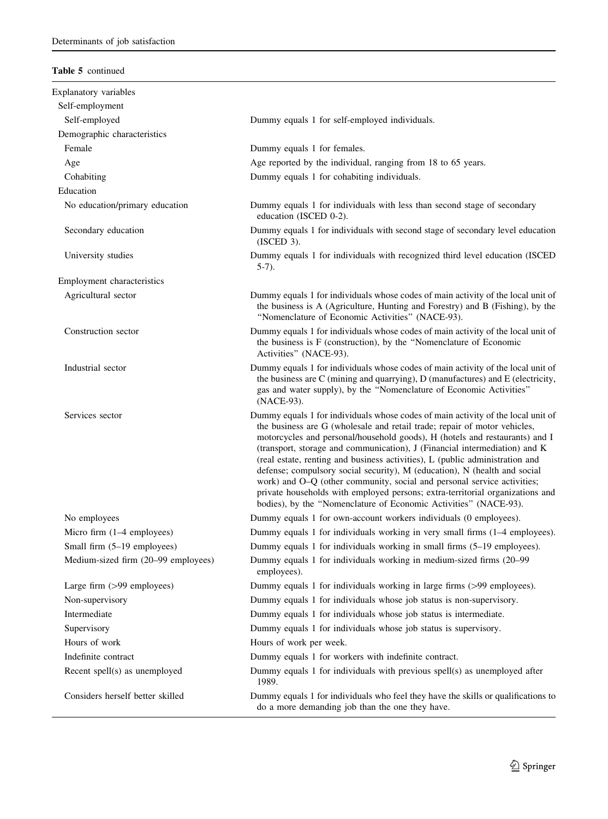### Table 5 continued

| Explanatory variables               |                                                                                                                                                                                                                                                                                                                                                                                                                                                                                                                                                                                                                                                                                                                         |
|-------------------------------------|-------------------------------------------------------------------------------------------------------------------------------------------------------------------------------------------------------------------------------------------------------------------------------------------------------------------------------------------------------------------------------------------------------------------------------------------------------------------------------------------------------------------------------------------------------------------------------------------------------------------------------------------------------------------------------------------------------------------------|
| Self-employment                     |                                                                                                                                                                                                                                                                                                                                                                                                                                                                                                                                                                                                                                                                                                                         |
| Self-employed                       | Dummy equals 1 for self-employed individuals.                                                                                                                                                                                                                                                                                                                                                                                                                                                                                                                                                                                                                                                                           |
| Demographic characteristics         |                                                                                                                                                                                                                                                                                                                                                                                                                                                                                                                                                                                                                                                                                                                         |
| Female                              | Dummy equals 1 for females.                                                                                                                                                                                                                                                                                                                                                                                                                                                                                                                                                                                                                                                                                             |
| Age                                 | Age reported by the individual, ranging from 18 to 65 years.                                                                                                                                                                                                                                                                                                                                                                                                                                                                                                                                                                                                                                                            |
| Cohabiting                          | Dummy equals 1 for cohabiting individuals.                                                                                                                                                                                                                                                                                                                                                                                                                                                                                                                                                                                                                                                                              |
| Education                           |                                                                                                                                                                                                                                                                                                                                                                                                                                                                                                                                                                                                                                                                                                                         |
| No education/primary education      | Dummy equals 1 for individuals with less than second stage of secondary<br>education (ISCED 0-2).                                                                                                                                                                                                                                                                                                                                                                                                                                                                                                                                                                                                                       |
| Secondary education                 | Dummy equals 1 for individuals with second stage of secondary level education<br>(ISCED 3).                                                                                                                                                                                                                                                                                                                                                                                                                                                                                                                                                                                                                             |
| University studies                  | Dummy equals 1 for individuals with recognized third level education (ISCED)<br>$5-7$ ).                                                                                                                                                                                                                                                                                                                                                                                                                                                                                                                                                                                                                                |
| Employment characteristics          |                                                                                                                                                                                                                                                                                                                                                                                                                                                                                                                                                                                                                                                                                                                         |
| Agricultural sector                 | Dummy equals 1 for individuals whose codes of main activity of the local unit of<br>the business is A (Agriculture, Hunting and Forestry) and B (Fishing), by the<br>"Nomenclature of Economic Activities" (NACE-93).                                                                                                                                                                                                                                                                                                                                                                                                                                                                                                   |
| Construction sector                 | Dummy equals 1 for individuals whose codes of main activity of the local unit of<br>the business is F (construction), by the "Nomenclature of Economic<br>Activities" (NACE-93).                                                                                                                                                                                                                                                                                                                                                                                                                                                                                                                                        |
| Industrial sector                   | Dummy equals 1 for individuals whose codes of main activity of the local unit of<br>the business are C (mining and quarrying), D (manufactures) and E (electricity,<br>gas and water supply), by the "Nomenclature of Economic Activities"<br>(NACE-93).                                                                                                                                                                                                                                                                                                                                                                                                                                                                |
| Services sector                     | Dummy equals 1 for individuals whose codes of main activity of the local unit of<br>the business are G (wholesale and retail trade; repair of motor vehicles,<br>motorcycles and personal/household goods), H (hotels and restaurants) and I<br>(transport, storage and communication), J (Financial intermediation) and K<br>(real estate, renting and business activities), L (public administration and<br>defense; compulsory social security), M (education), N (health and social<br>work) and O-Q (other community, social and personal service activities;<br>private households with employed persons; extra-territorial organizations and<br>bodies), by the "Nomenclature of Economic Activities" (NACE-93). |
| No employees                        | Dummy equals 1 for own-account workers individuals (0 employees).                                                                                                                                                                                                                                                                                                                                                                                                                                                                                                                                                                                                                                                       |
| Micro firm (1-4 employees)          | Dummy equals 1 for individuals working in very small firms (1-4 employees).                                                                                                                                                                                                                                                                                                                                                                                                                                                                                                                                                                                                                                             |
| Small firm (5-19 employees)         | Dummy equals 1 for individuals working in small firms (5-19 employees).                                                                                                                                                                                                                                                                                                                                                                                                                                                                                                                                                                                                                                                 |
| Medium-sized firm (20-99 employees) | Dummy equals 1 for individuals working in medium-sized firms (20-99<br>employees).                                                                                                                                                                                                                                                                                                                                                                                                                                                                                                                                                                                                                                      |
| Large firm (>99 employees)          | Dummy equals 1 for individuals working in large firms (>99 employees).                                                                                                                                                                                                                                                                                                                                                                                                                                                                                                                                                                                                                                                  |
| Non-supervisory                     | Dummy equals 1 for individuals whose job status is non-supervisory.                                                                                                                                                                                                                                                                                                                                                                                                                                                                                                                                                                                                                                                     |
| Intermediate                        | Dummy equals 1 for individuals whose job status is intermediate.                                                                                                                                                                                                                                                                                                                                                                                                                                                                                                                                                                                                                                                        |
| Supervisory                         | Dummy equals 1 for individuals whose job status is supervisory.                                                                                                                                                                                                                                                                                                                                                                                                                                                                                                                                                                                                                                                         |
| Hours of work                       | Hours of work per week.                                                                                                                                                                                                                                                                                                                                                                                                                                                                                                                                                                                                                                                                                                 |
| Indefinite contract                 | Dummy equals 1 for workers with indefinite contract.                                                                                                                                                                                                                                                                                                                                                                                                                                                                                                                                                                                                                                                                    |
| Recent spell(s) as unemployed       | Dummy equals 1 for individuals with previous spell(s) as unemployed after<br>1989.                                                                                                                                                                                                                                                                                                                                                                                                                                                                                                                                                                                                                                      |
| Considers herself better skilled    | Dummy equals 1 for individuals who feel they have the skills or qualifications to<br>do a more demanding job than the one they have.                                                                                                                                                                                                                                                                                                                                                                                                                                                                                                                                                                                    |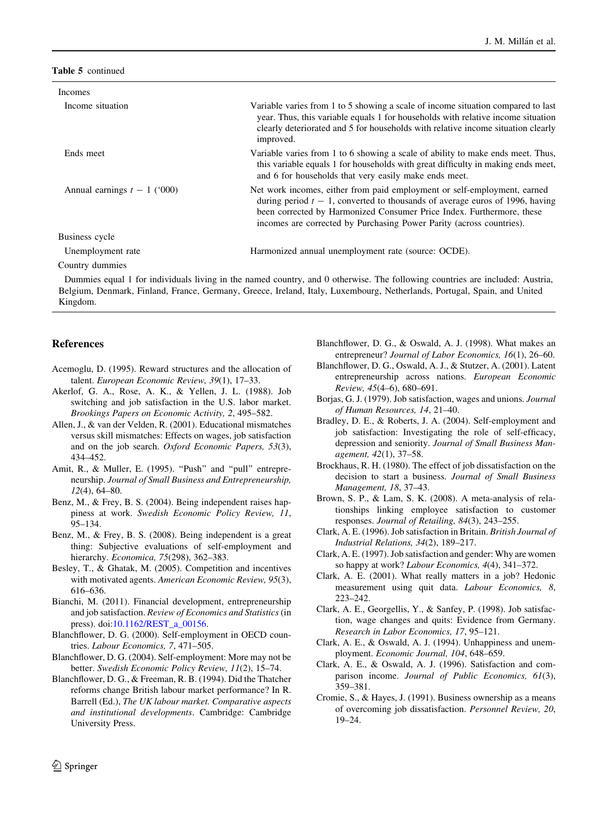<span id="page-17-0"></span>Table 5 continued

| <b>Incomes</b>                 |                                                                                                                                                                                                                                                                       |
|--------------------------------|-----------------------------------------------------------------------------------------------------------------------------------------------------------------------------------------------------------------------------------------------------------------------|
| Income situation               | Variable varies from 1 to 5 showing a scale of income situation compared to last<br>year. Thus, this variable equals 1 for households with relative income situation<br>clearly deteriorated and 5 for households with relative income situation clearly<br>improved. |
| Ends meet                      | Variable varies from 1 to 6 showing a scale of ability to make ends meet. Thus,<br>this variable equals 1 for households with great difficulty in making ends meet,<br>and 6 for households that very easily make ends meet.                                          |
| Annual earnings $t - 1$ ('000) | Net work incomes, either from paid employment or self-employment, earned<br>during period $t - 1$ , converted to thousands of average euros of 1996, having<br>been corrected by Harmonized Consumer Price Index. Furthermore, these                                  |

Business cycle

Unemployment rate Harmonized annual unemployment rate (source: OCDE).

Country dummies

Dummies equal 1 for individuals living in the named country, and 0 otherwise. The following countries are included: Austria, Belgium, Denmark, Finland, France, Germany, Greece, Ireland, Italy, Luxembourg, Netherlands, Portugal, Spain, and United Kingdom.

### References

| Acemoglu, D. (1995). Reward structures and the allocation of |
|--------------------------------------------------------------|
| talent. European Economic Review, 39(1), 17–33.              |

- Akerlof, G. A., Rose, A. K., & Yellen, J. L. (1988). Job switching and job satisfaction in the U.S. labor market. Brookings Papers on Economic Activity, 2, 495–582.
- Allen, J., & van der Velden, R. (2001). Educational mismatches versus skill mismatches: Effects on wages, job satisfaction and on the job search. Oxford Economic Papers, 53(3), 434–452.
- Amit, R., & Muller, E. (1995). "Push" and "pull" entrepreneurship. Journal of Small Business and Entrepreneurship, 12(4), 64–80.
- Benz, M., & Frey, B. S. (2004). Being independent raises happiness at work. Swedish Economic Policy Review, 11, 95–134.
- Benz, M., & Frey, B. S. (2008). Being independent is a great thing: Subjective evaluations of self-employment and hierarchy. Economica, 75(298), 362–383.
- Besley, T., & Ghatak, M. (2005). Competition and incentives with motivated agents. American Economic Review, 95(3), 616–636.
- Bianchi, M. (2011). Financial development, entrepreneurship and job satisfaction. Review of Economics and Statistics (in press). doi:[10.1162/REST\\_a\\_00156.](http://dx.doi.org/10.1162/REST_a_00156)
- Blanchflower, D. G. (2000). Self-employment in OECD countries. Labour Economics, 7, 471–505.
- Blanchflower, D. G. (2004). Self-employment: More may not be better. Swedish Economic Policy Review, 11(2), 15–74.
- Blanchflower, D. G., & Freeman, R. B. (1994). Did the Thatcher reforms change British labour market performance? In R. Barrell (Ed.), The UK labour market. Comparative aspects and institutional developments. Cambridge: Cambridge University Press.

Blanchflower, D. G., & Oswald, A. J. (1998). What makes an entrepreneur? Journal of Labor Economics, 16(1), 26–60.

incomes are corrected by Purchasing Power Parity (across countries).

- Blanchflower, D. G., Oswald, A. J., & Stutzer, A. (2001). Latent entrepreneurship across nations. European Economic Review, 45(4–6), 680–691.
- Borjas, G. J. (1979). Job satisfaction, wages and unions. Journal of Human Resources, 14, 21–40.
- Bradley, D. E., & Roberts, J. A. (2004). Self-employment and job satisfaction: Investigating the role of self-efficacy, depression and seniority. Journal of Small Business Management, 42(1), 37–58.
- Brockhaus, R. H. (1980). The effect of job dissatisfaction on the decision to start a business. Journal of Small Business Management, 18, 37–43.
- Brown, S. P., & Lam, S. K. (2008). A meta-analysis of relationships linking employee satisfaction to customer responses. Journal of Retailing, 84(3), 243–255.
- Clark, A. E. (1996). Job satisfaction in Britain. British Journal of Industrial Relations, 34(2), 189–217.
- Clark, A. E. (1997). Job satisfaction and gender: Why are women so happy at work? Labour Economics, 4(4), 341–372.
- Clark, A. E. (2001). What really matters in a job? Hedonic measurement using quit data. Labour Economics, 8, 223–242.
- Clark, A. E., Georgellis, Y., & Sanfey, P. (1998). Job satisfaction, wage changes and quits: Evidence from Germany. Research in Labor Economics, 17, 95–121.
- Clark, A. E., & Oswald, A. J. (1994). Unhappiness and unemployment. Economic Journal, 104, 648–659.
- Clark, A. E., & Oswald, A. J. (1996). Satisfaction and comparison income. Journal of Public Economics, 61(3), 359–381.
- Cromie, S., & Hayes, J. (1991). Business ownership as a means of overcoming job dissatisfaction. Personnel Review, 20, 19–24.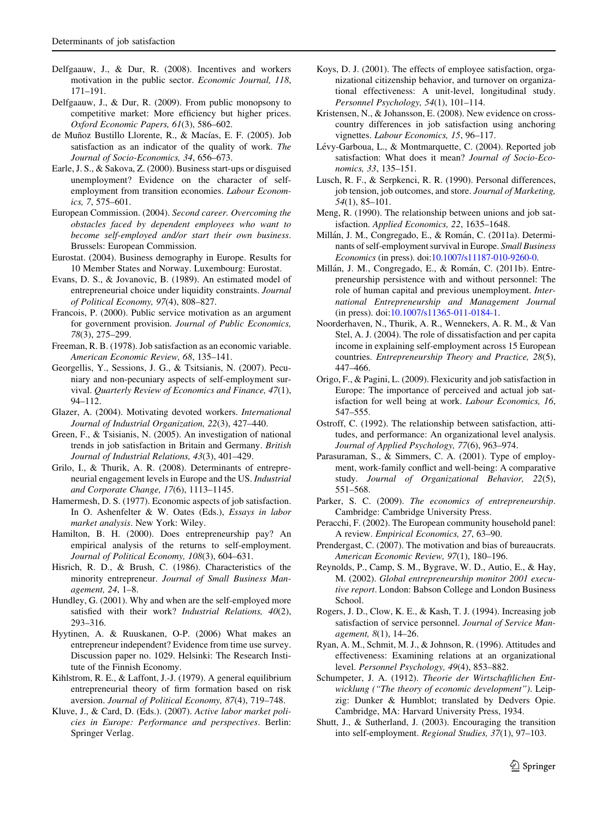- <span id="page-18-0"></span>Delfgaauw, J., & Dur, R. (2008). Incentives and workers motivation in the public sector. Economic Journal, 118, 171–191.
- Delfgaauw, J., & Dur, R. (2009). From public monopsony to competitive market: More efficiency but higher prices. Oxford Economic Papers, 61(3), 586–602.
- de Muñoz Bustillo Llorente, R., & Macías, E. F. (2005). Job satisfaction as an indicator of the quality of work. The Journal of Socio-Economics, 34, 656–673.
- Earle, J. S., & Sakova, Z. (2000). Business start-ups or disguised unemployment? Evidence on the character of selfemployment from transition economies. Labour Economics, 7, 575–601.
- European Commission. (2004). Second career. Overcoming the obstacles faced by dependent employees who want to become self-employed and/or start their own business. Brussels: European Commission.
- Eurostat. (2004). Business demography in Europe. Results for 10 Member States and Norway. Luxembourg: Eurostat.
- Evans, D. S., & Jovanovic, B. (1989). An estimated model of entrepreneurial choice under liquidity constraints. Journal of Political Economy, 97(4), 808–827.
- Francois, P. (2000). Public service motivation as an argument for government provision. Journal of Public Economics, 78(3), 275–299.
- Freeman, R. B. (1978). Job satisfaction as an economic variable. American Economic Review, 68, 135–141.
- Georgellis, Y., Sessions, J. G., & Tsitsianis, N. (2007). Pecuniary and non-pecuniary aspects of self-employment survival. Quarterly Review of Economics and Finance, 47(1), 94–112.
- Glazer, A. (2004). Motivating devoted workers. International Journal of Industrial Organization, 22(3), 427–440.
- Green, F., & Tsisianis, N. (2005). An investigation of national trends in job satisfaction in Britain and Germany. British Journal of Industrial Relations, 43(3), 401–429.
- Grilo, I., & Thurik, A. R. (2008). Determinants of entrepreneurial engagement levels in Europe and the US. Industrial and Corporate Change, 17(6), 1113–1145.
- Hamermesh, D. S. (1977). Economic aspects of job satisfaction. In O. Ashenfelter & W. Oates (Eds.), Essays in labor market analysis. New York: Wiley.
- Hamilton, B. H. (2000). Does entrepreneurship pay? An empirical analysis of the returns to self-employment. Journal of Political Economy, 108(3), 604–631.
- Hisrich, R. D., & Brush, C. (1986). Characteristics of the minority entrepreneur. Journal of Small Business Management, 24, 1–8.
- Hundley, G. (2001). Why and when are the self-employed more satisfied with their work? Industrial Relations, 40(2), 293–316.
- Hyytinen, A. & Ruuskanen, O-P. (2006) What makes an entrepreneur independent? Evidence from time use survey. Discussion paper no. 1029. Helsinki: The Research Institute of the Finnish Economy.
- Kihlstrom, R. E., & Laffont, J.-J. (1979). A general equilibrium entrepreneurial theory of firm formation based on risk aversion. Journal of Political Economy, 87(4), 719–748.
- Kluve, J., & Card, D. (Eds.). (2007). Active labor market policies in Europe: Performance and perspectives. Berlin: Springer Verlag.
- Koys, D. J. (2001). The effects of employee satisfaction, organizational citizenship behavior, and turnover on organizational effectiveness: A unit-level, longitudinal study. Personnel Psychology, 54(1), 101–114.
- Kristensen, N., & Johansson, E. (2008). New evidence on crosscountry differences in job satisfaction using anchoring vignettes. Labour Economics, 15, 96–117.
- Lévy-Garboua, L., & Montmarquette, C. (2004). Reported job satisfaction: What does it mean? Journal of Socio-Economics, 33, 135–151.
- Lusch, R. F., & Serpkenci, R. R. (1990). Personal differences, job tension, job outcomes, and store. Journal of Marketing, 54(1), 85–101.
- Meng, R. (1990). The relationship between unions and job satisfaction. Applied Economics, 22, 1635–1648.
- Millán, J. M., Congregado, E., & Román, C. (2011a). Determinants of self-employment survival in Europe. Small Business Economics (in press). doi:[10.1007/s11187-010-9260-0](http://dx.doi.org/10.1007/s11187-010-9260-0).
- Millán, J. M., Congregado, E., & Román, C. (2011b). Entrepreneurship persistence with and without personnel: The role of human capital and previous unemployment. International Entrepreneurship and Management Journal (in press). doi:[10.1007/s11365-011-0184-1](http://dx.doi.org/10.1007/s11365-011-0184-1).
- Noorderhaven, N., Thurik, A. R., Wennekers, A. R. M., & Van Stel, A. J. (2004). The role of dissatisfaction and per capita income in explaining self-employment across 15 European countries. Entrepreneurship Theory and Practice, 28(5), 447–466.
- Origo, F., & Pagini, L. (2009). Flexicurity and job satisfaction in Europe: The importance of perceived and actual job satisfaction for well being at work. Labour Economics, 16, 547–555.
- Ostroff, C. (1992). The relationship between satisfaction, attitudes, and performance: An organizational level analysis. Journal of Applied Psychology, 77(6), 963–974.
- Parasuraman, S., & Simmers, C. A. (2001). Type of employment, work-family conflict and well-being: A comparative study. Journal of Organizational Behavior, 22(5), 551–568.
- Parker, S. C. (2009). The economics of entrepreneurship. Cambridge: Cambridge University Press.
- Peracchi, F. (2002). The European community household panel: A review. Empirical Economics, 27, 63–90.
- Prendergast, C. (2007). The motivation and bias of bureaucrats. American Economic Review, 97(1), 180–196.
- Reynolds, P., Camp, S. M., Bygrave, W. D., Autio, E., & Hay, M. (2002). Global entrepreneurship monitor 2001 executive report. London: Babson College and London Business School.
- Rogers, J. D., Clow, K. E., & Kash, T. J. (1994). Increasing job satisfaction of service personnel. Journal of Service Management, 8(1), 14–26.
- Ryan, A. M., Schmit, M. J., & Johnson, R. (1996). Attitudes and effectiveness: Examining relations at an organizational level. Personnel Psychology, 49(4), 853–882.
- Schumpeter, J. A. (1912). Theorie der Wirtschaftlichen Entwicklung ("The theory of economic development"). Leipzig: Dunker & Humblot; translated by Dedvers Opie. Cambridge, MA: Harvard University Press, 1934.
- Shutt, J., & Sutherland, J. (2003). Encouraging the transition into self-employment. Regional Studies, 37(1), 97–103.